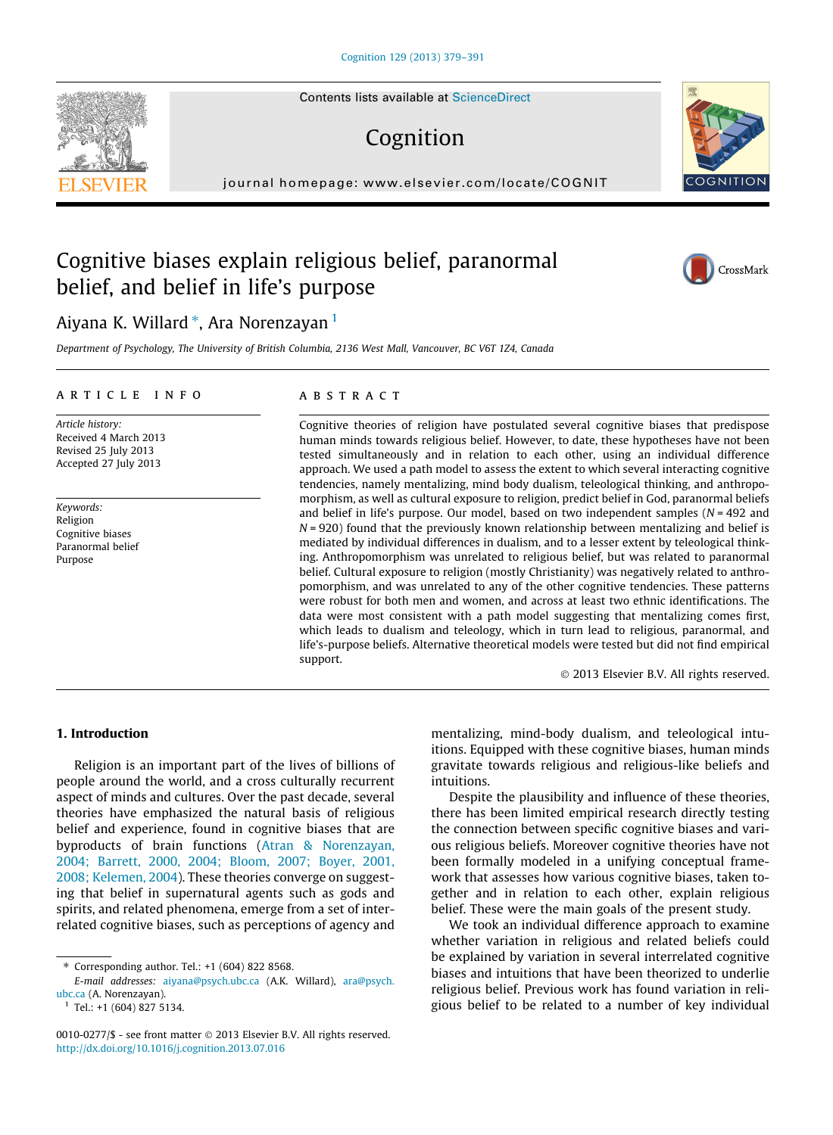Contents lists available at [ScienceDirect](http://www.sciencedirect.com/science/journal/00100277)

# Cognition

journal homepage: [www.elsevier.com/locate/COGNIT](http://www.elsevier.com/locate/COGNIT)

## Cognitive biases explain religious belief, paranormal belief, and belief in life's purpose

## Aiyana K. Willard \*, Ara Norenzayan <sup>1</sup>

Department of Psychology, The University of British Columbia, 2136 West Mall, Vancouver, BC V6T 1Z4, Canada

## article info

Article history: Received 4 March 2013 Revised 25 July 2013 Accepted 27 July 2013

Keywords: Religion Cognitive biases Paranormal belief Purpose

## **ABSTRACT**

Cognitive theories of religion have postulated several cognitive biases that predispose human minds towards religious belief. However, to date, these hypotheses have not been tested simultaneously and in relation to each other, using an individual difference approach. We used a path model to assess the extent to which several interacting cognitive tendencies, namely mentalizing, mind body dualism, teleological thinking, and anthropomorphism, as well as cultural exposure to religion, predict belief in God, paranormal beliefs and belief in life's purpose. Our model, based on two independent samples ( $N = 492$  and  $N = 920$ ) found that the previously known relationship between mentalizing and belief is mediated by individual differences in dualism, and to a lesser extent by teleological thinking. Anthropomorphism was unrelated to religious belief, but was related to paranormal belief. Cultural exposure to religion (mostly Christianity) was negatively related to anthropomorphism, and was unrelated to any of the other cognitive tendencies. These patterns were robust for both men and women, and across at least two ethnic identifications. The data were most consistent with a path model suggesting that mentalizing comes first, which leads to dualism and teleology, which in turn lead to religious, paranormal, and life's-purpose beliefs. Alternative theoretical models were tested but did not find empirical support.

- 2013 Elsevier B.V. All rights reserved.

## 1. Introduction

Religion is an important part of the lives of billions of people around the world, and a cross culturally recurrent aspect of minds and cultures. Over the past decade, several theories have emphasized the natural basis of religious belief and experience, found in cognitive biases that are byproducts of brain functions [\(Atran & Norenzayan,](#page-10-0) [2004; Barrett, 2000, 2004; Bloom, 2007; Boyer, 2001,](#page-10-0) [2008; Kelemen, 2004](#page-10-0)). These theories converge on suggesting that belief in supernatural agents such as gods and spirits, and related phenomena, emerge from a set of interrelated cognitive biases, such as perceptions of agency and

<sup>1</sup> Tel.: +1 (604) 827 5134.

mentalizing, mind-body dualism, and teleological intuitions. Equipped with these cognitive biases, human minds gravitate towards religious and religious-like beliefs and intuitions.

Despite the plausibility and influence of these theories, there has been limited empirical research directly testing the connection between specific cognitive biases and various religious beliefs. Moreover cognitive theories have not been formally modeled in a unifying conceptual framework that assesses how various cognitive biases, taken together and in relation to each other, explain religious belief. These were the main goals of the present study.

We took an individual difference approach to examine whether variation in religious and related beliefs could be explained by variation in several interrelated cognitive biases and intuitions that have been theorized to underlie religious belief. Previous work has found variation in religious belief to be related to a number of key individual





CrossMark

<sup>⇑</sup> Corresponding author. Tel.: +1 (604) 822 8568.

E-mail addresses: [aiyana@psych.ubc.ca](mailto:aiyana@psych.ubc.ca) (A.K. Willard), [ara@psych.](mailto:ara@psych.  ubc.ca) [ubc.ca](mailto:ara@psych.  ubc.ca) (A. Norenzayan).

<sup>0010-0277/\$ -</sup> see front matter © 2013 Elsevier B.V. All rights reserved. <http://dx.doi.org/10.1016/j.cognition.2013.07.016>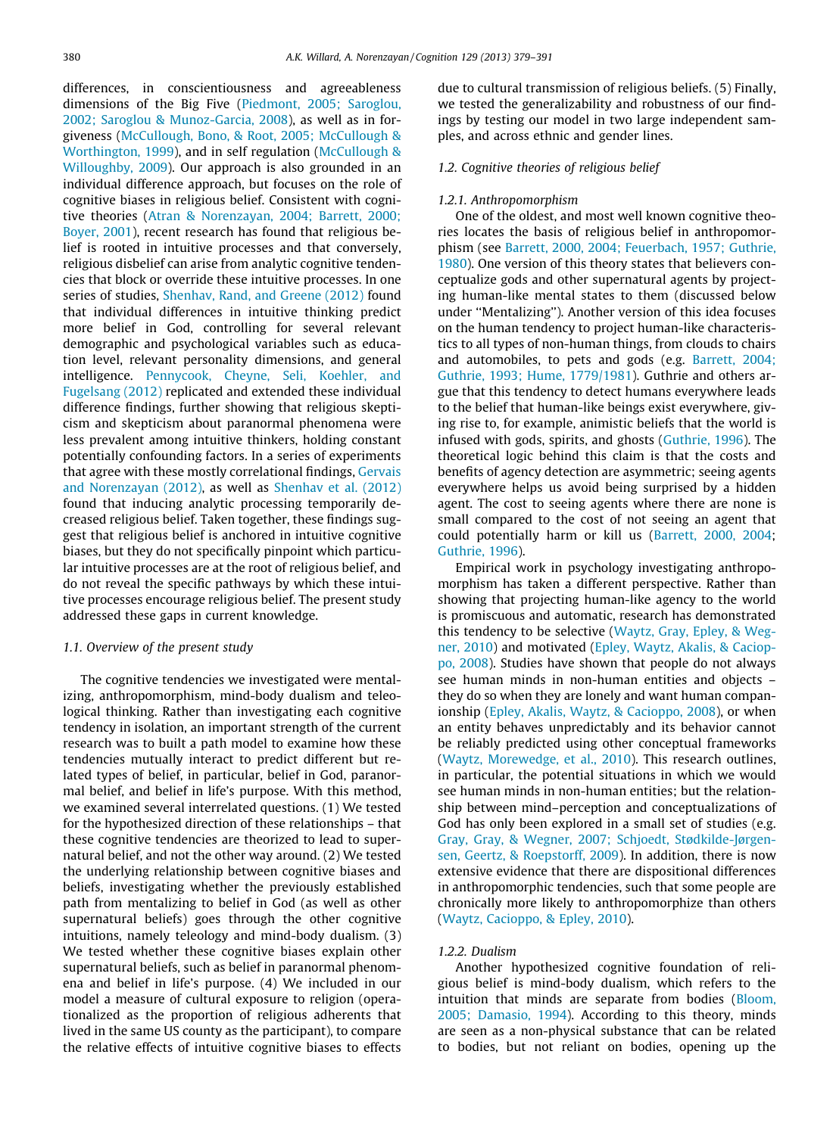differences, in conscientiousness and agreeableness dimensions of the Big Five [\(Piedmont, 2005; Saroglou,](#page-11-0) [2002; Saroglou & Munoz-Garcia, 2008](#page-11-0)), as well as in forgiveness [\(McCullough, Bono, & Root, 2005; McCullough &](#page-11-0) [Worthington, 1999\)](#page-11-0), and in self regulation ([McCullough &](#page-11-0) [Willoughby, 2009\)](#page-11-0). Our approach is also grounded in an individual difference approach, but focuses on the role of cognitive biases in religious belief. Consistent with cognitive theories [\(Atran & Norenzayan, 2004; Barrett, 2000;](#page-10-0) [Boyer, 2001](#page-10-0)), recent research has found that religious belief is rooted in intuitive processes and that conversely, religious disbelief can arise from analytic cognitive tendencies that block or override these intuitive processes. In one series of studies, [Shenhav, Rand, and Greene \(2012\)](#page-11-0) found that individual differences in intuitive thinking predict more belief in God, controlling for several relevant demographic and psychological variables such as education level, relevant personality dimensions, and general intelligence. [Pennycook, Cheyne, Seli, Koehler, and](#page-11-0) [Fugelsang \(2012\)](#page-11-0) replicated and extended these individual difference findings, further showing that religious skepticism and skepticism about paranormal phenomena were less prevalent among intuitive thinkers, holding constant potentially confounding factors. In a series of experiments that agree with these mostly correlational findings, [Gervais](#page-11-0) [and Norenzayan \(2012\)](#page-11-0), as well as [Shenhav et al. \(2012\)](#page-11-0) found that inducing analytic processing temporarily decreased religious belief. Taken together, these findings suggest that religious belief is anchored in intuitive cognitive biases, but they do not specifically pinpoint which particular intuitive processes are at the root of religious belief, and do not reveal the specific pathways by which these intuitive processes encourage religious belief. The present study addressed these gaps in current knowledge.

## 1.1. Overview of the present study

The cognitive tendencies we investigated were mentalizing, anthropomorphism, mind-body dualism and teleological thinking. Rather than investigating each cognitive tendency in isolation, an important strength of the current research was to built a path model to examine how these tendencies mutually interact to predict different but related types of belief, in particular, belief in God, paranormal belief, and belief in life's purpose. With this method, we examined several interrelated questions. (1) We tested for the hypothesized direction of these relationships – that these cognitive tendencies are theorized to lead to supernatural belief, and not the other way around. (2) We tested the underlying relationship between cognitive biases and beliefs, investigating whether the previously established path from mentalizing to belief in God (as well as other supernatural beliefs) goes through the other cognitive intuitions, namely teleology and mind-body dualism. (3) We tested whether these cognitive biases explain other supernatural beliefs, such as belief in paranormal phenomena and belief in life's purpose. (4) We included in our model a measure of cultural exposure to religion (operationalized as the proportion of religious adherents that lived in the same US county as the participant), to compare the relative effects of intuitive cognitive biases to effects

due to cultural transmission of religious beliefs. (5) Finally, we tested the generalizability and robustness of our findings by testing our model in two large independent samples, and across ethnic and gender lines.

## 1.2. Cognitive theories of religious belief

#### 1.2.1. Anthropomorphism

One of the oldest, and most well known cognitive theories locates the basis of religious belief in anthropomorphism (see [Barrett, 2000, 2004; Feuerbach, 1957; Guthrie,](#page-10-0) [1980](#page-10-0)). One version of this theory states that believers conceptualize gods and other supernatural agents by projecting human-like mental states to them (discussed below under ''Mentalizing''). Another version of this idea focuses on the human tendency to project human-like characteristics to all types of non-human things, from clouds to chairs and automobiles, to pets and gods (e.g. [Barrett, 2004;](#page-10-0) [Guthrie, 1993; Hume, 1779/1981](#page-10-0)). Guthrie and others argue that this tendency to detect humans everywhere leads to the belief that human-like beings exist everywhere, giving rise to, for example, animistic beliefs that the world is infused with gods, spirits, and ghosts ([Guthrie, 1996](#page-11-0)). The theoretical logic behind this claim is that the costs and benefits of agency detection are asymmetric; seeing agents everywhere helps us avoid being surprised by a hidden agent. The cost to seeing agents where there are none is small compared to the cost of not seeing an agent that could potentially harm or kill us ([Barrett, 2000, 2004;](#page-10-0) [Guthrie, 1996\)](#page-11-0).

Empirical work in psychology investigating anthropomorphism has taken a different perspective. Rather than showing that projecting human-like agency to the world is promiscuous and automatic, research has demonstrated this tendency to be selective [\(Waytz, Gray, Epley, & Weg](#page-12-0)[ner, 2010](#page-12-0)) and motivated [\(Epley, Waytz, Akalis, & Caciop](#page-11-0)[po, 2008](#page-11-0)). Studies have shown that people do not always see human minds in non-human entities and objects – they do so when they are lonely and want human companionship ([Epley, Akalis, Waytz, & Cacioppo, 2008](#page-11-0)), or when an entity behaves unpredictably and its behavior cannot be reliably predicted using other conceptual frameworks [\(Waytz, Morewedge, et al., 2010](#page-12-0)). This research outlines, in particular, the potential situations in which we would see human minds in non-human entities; but the relationship between mind–perception and conceptualizations of God has only been explored in a small set of studies (e.g. [Gray, Gray, & Wegner, 2007; Schjoedt, Stødkilde-Jørgen](#page-11-0)[sen, Geertz, & Roepstorff, 2009\)](#page-11-0). In addition, there is now extensive evidence that there are dispositional differences in anthropomorphic tendencies, such that some people are chronically more likely to anthropomorphize than others [\(Waytz, Cacioppo, & Epley, 2010\)](#page-11-0).

## 1.2.2. Dualism

Another hypothesized cognitive foundation of religious belief is mind-body dualism, which refers to the intuition that minds are separate from bodies [\(Bloom,](#page-10-0) [2005; Damasio, 1994\)](#page-10-0). According to this theory, minds are seen as a non-physical substance that can be related to bodies, but not reliant on bodies, opening up the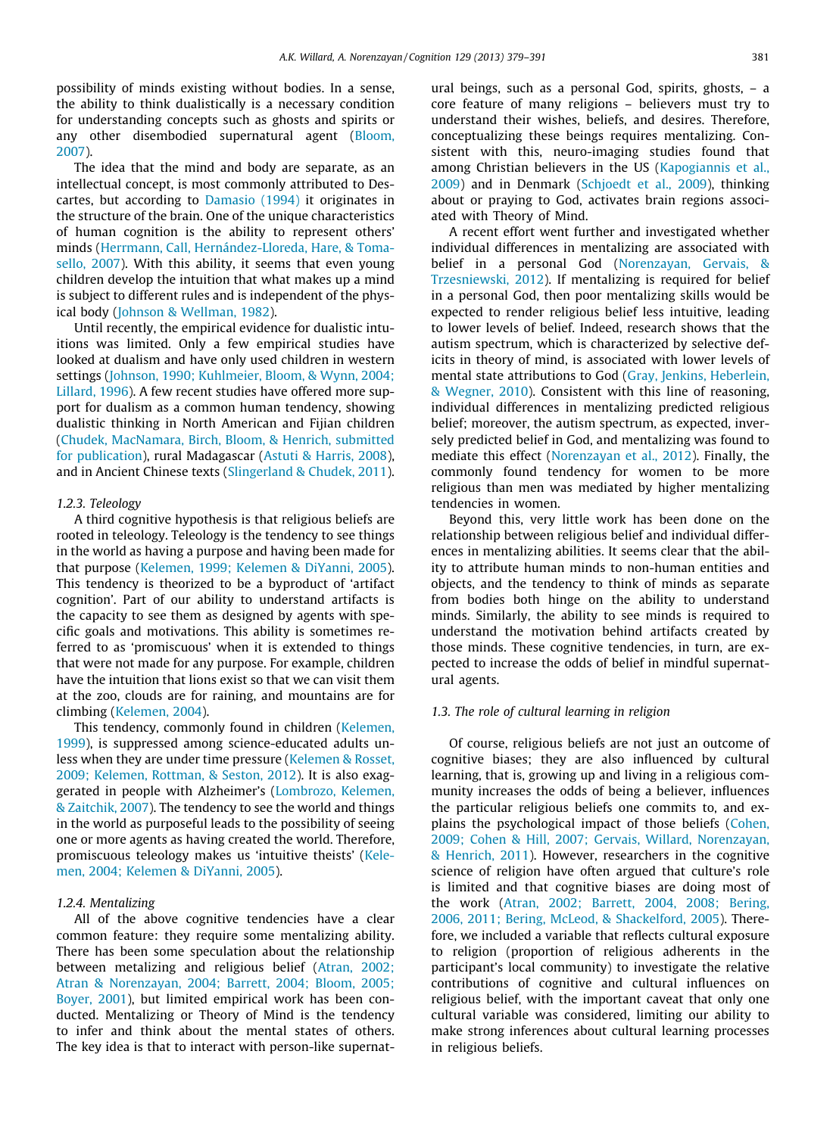possibility of minds existing without bodies. In a sense, the ability to think dualistically is a necessary condition for understanding concepts such as ghosts and spirits or any other disembodied supernatural agent ([Bloom,](#page-10-0) [2007\)](#page-10-0).

The idea that the mind and body are separate, as an intellectual concept, is most commonly attributed to Descartes, but according to [Damasio \(1994\)](#page-11-0) it originates in the structure of the brain. One of the unique characteristics of human cognition is the ability to represent others' minds ([Herrmann, Call, Hernández-Lloreda, Hare, & Toma](#page-11-0)[sello, 2007\)](#page-11-0). With this ability, it seems that even young children develop the intuition that what makes up a mind is subject to different rules and is independent of the physical body [\(Johnson & Wellman, 1982](#page-11-0)).

Until recently, the empirical evidence for dualistic intuitions was limited. Only a few empirical studies have looked at dualism and have only used children in western settings ([Johnson, 1990; Kuhlmeier, Bloom, & Wynn, 2004;](#page-11-0) [Lillard, 1996\)](#page-11-0). A few recent studies have offered more support for dualism as a common human tendency, showing dualistic thinking in North American and Fijian children ([Chudek, MacNamara, Birch, Bloom, & Henrich, submitted](#page-10-0) [for publication](#page-10-0)), rural Madagascar ([Astuti & Harris, 2008](#page-10-0)), and in Ancient Chinese texts [\(Slingerland & Chudek, 2011](#page-11-0)).

#### 1.2.3. Teleology

A third cognitive hypothesis is that religious beliefs are rooted in teleology. Teleology is the tendency to see things in the world as having a purpose and having been made for that purpose ([Kelemen, 1999; Kelemen & DiYanni, 2005](#page-11-0)). This tendency is theorized to be a byproduct of 'artifact cognition'. Part of our ability to understand artifacts is the capacity to see them as designed by agents with specific goals and motivations. This ability is sometimes referred to as 'promiscuous' when it is extended to things that were not made for any purpose. For example, children have the intuition that lions exist so that we can visit them at the zoo, clouds are for raining, and mountains are for climbing ([Kelemen, 2004\)](#page-11-0).

This tendency, commonly found in children [\(Kelemen,](#page-11-0) [1999\)](#page-11-0), is suppressed among science-educated adults unless when they are under time pressure [\(Kelemen & Rosset,](#page-11-0) [2009; Kelemen, Rottman, & Seston, 2012\)](#page-11-0). It is also exaggerated in people with Alzheimer's [\(Lombrozo, Kelemen,](#page-11-0) [& Zaitchik, 2007](#page-11-0)). The tendency to see the world and things in the world as purposeful leads to the possibility of seeing one or more agents as having created the world. Therefore, promiscuous teleology makes us 'intuitive theists' [\(Kele](#page-11-0)[men, 2004; Kelemen & DiYanni, 2005\)](#page-11-0).

## 1.2.4. Mentalizing

All of the above cognitive tendencies have a clear common feature: they require some mentalizing ability. There has been some speculation about the relationship between metalizing and religious belief ([Atran, 2002;](#page-10-0) [Atran & Norenzayan, 2004; Barrett, 2004; Bloom, 2005;](#page-10-0) [Boyer, 2001](#page-10-0)), but limited empirical work has been conducted. Mentalizing or Theory of Mind is the tendency to infer and think about the mental states of others. The key idea is that to interact with person-like supernatural beings, such as a personal God, spirits, ghosts, – a core feature of many religions – believers must try to understand their wishes, beliefs, and desires. Therefore, conceptualizing these beings requires mentalizing. Consistent with this, neuro-imaging studies found that among Christian believers in the US [\(Kapogiannis et al.,](#page-11-0) [2009\)](#page-11-0) and in Denmark [\(Schjoedt et al., 2009](#page-11-0)), thinking about or praying to God, activates brain regions associated with Theory of Mind.

A recent effort went further and investigated whether individual differences in mentalizing are associated with belief in a personal God ([Norenzayan, Gervais, &](#page-11-0) [Trzesniewski, 2012\)](#page-11-0). If mentalizing is required for belief in a personal God, then poor mentalizing skills would be expected to render religious belief less intuitive, leading to lower levels of belief. Indeed, research shows that the autism spectrum, which is characterized by selective deficits in theory of mind, is associated with lower levels of mental state attributions to God [\(Gray, Jenkins, Heberlein,](#page-11-0) [& Wegner, 2010](#page-11-0)). Consistent with this line of reasoning, individual differences in mentalizing predicted religious belief; moreover, the autism spectrum, as expected, inversely predicted belief in God, and mentalizing was found to mediate this effect ([Norenzayan et al., 2012](#page-11-0)). Finally, the commonly found tendency for women to be more religious than men was mediated by higher mentalizing tendencies in women.

Beyond this, very little work has been done on the relationship between religious belief and individual differences in mentalizing abilities. It seems clear that the ability to attribute human minds to non-human entities and objects, and the tendency to think of minds as separate from bodies both hinge on the ability to understand minds. Similarly, the ability to see minds is required to understand the motivation behind artifacts created by those minds. These cognitive tendencies, in turn, are expected to increase the odds of belief in mindful supernatural agents.

## 1.3. The role of cultural learning in religion

Of course, religious beliefs are not just an outcome of cognitive biases; they are also influenced by cultural learning, that is, growing up and living in a religious community increases the odds of being a believer, influences the particular religious beliefs one commits to, and explains the psychological impact of those beliefs ([Cohen,](#page-10-0) [2009; Cohen & Hill, 2007; Gervais, Willard, Norenzayan,](#page-10-0) [& Henrich, 2011\)](#page-10-0). However, researchers in the cognitive science of religion have often argued that culture's role is limited and that cognitive biases are doing most of the work [\(Atran, 2002; Barrett, 2004, 2008; Bering,](#page-10-0) [2006, 2011; Bering, McLeod, & Shackelford, 2005](#page-10-0)). Therefore, we included a variable that reflects cultural exposure to religion (proportion of religious adherents in the participant's local community) to investigate the relative contributions of cognitive and cultural influences on religious belief, with the important caveat that only one cultural variable was considered, limiting our ability to make strong inferences about cultural learning processes in religious beliefs.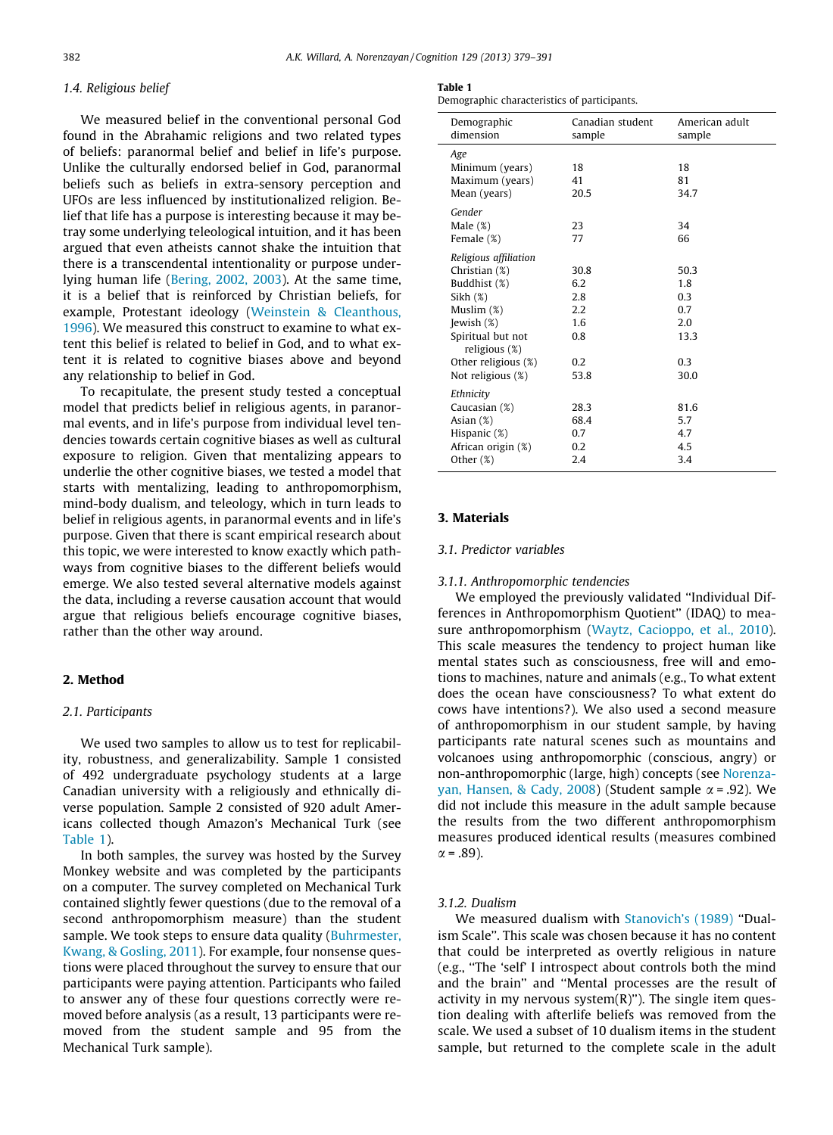## 1.4. Religious belief

We measured belief in the conventional personal God found in the Abrahamic religions and two related types of beliefs: paranormal belief and belief in life's purpose. Unlike the culturally endorsed belief in God, paranormal beliefs such as beliefs in extra-sensory perception and UFOs are less influenced by institutionalized religion. Belief that life has a purpose is interesting because it may betray some underlying teleological intuition, and it has been argued that even atheists cannot shake the intuition that there is a transcendental intentionality or purpose underlying human life ([Bering, 2002, 2003](#page-10-0)). At the same time, it is a belief that is reinforced by Christian beliefs, for example, Protestant ideology [\(Weinstein & Cleanthous,](#page-12-0) [1996](#page-12-0)). We measured this construct to examine to what extent this belief is related to belief in God, and to what extent it is related to cognitive biases above and beyond any relationship to belief in God.

To recapitulate, the present study tested a conceptual model that predicts belief in religious agents, in paranormal events, and in life's purpose from individual level tendencies towards certain cognitive biases as well as cultural exposure to religion. Given that mentalizing appears to underlie the other cognitive biases, we tested a model that starts with mentalizing, leading to anthropomorphism, mind-body dualism, and teleology, which in turn leads to belief in religious agents, in paranormal events and in life's purpose. Given that there is scant empirical research about this topic, we were interested to know exactly which pathways from cognitive biases to the different beliefs would emerge. We also tested several alternative models against the data, including a reverse causation account that would argue that religious beliefs encourage cognitive biases, rather than the other way around.

## 2. Method

## 2.1. Participants

We used two samples to allow us to test for replicability, robustness, and generalizability. Sample 1 consisted of 492 undergraduate psychology students at a large Canadian university with a religiously and ethnically diverse population. Sample 2 consisted of 920 adult Americans collected though Amazon's Mechanical Turk (see Table 1).

In both samples, the survey was hosted by the Survey Monkey website and was completed by the participants on a computer. The survey completed on Mechanical Turk contained slightly fewer questions (due to the removal of a second anthropomorphism measure) than the student sample. We took steps to ensure data quality [\(Buhrmester,](#page-10-0) [Kwang, & Gosling, 2011\)](#page-10-0). For example, four nonsense questions were placed throughout the survey to ensure that our participants were paying attention. Participants who failed to answer any of these four questions correctly were removed before analysis (as a result, 13 participants were removed from the student sample and 95 from the Mechanical Turk sample).

Demographic characteristics of participants.

| Demographic<br>dimension | Canadian student<br>sample | American adult<br>sample |
|--------------------------|----------------------------|--------------------------|
| Age                      |                            |                          |
| Minimum (years)          | 18                         | 18                       |
| Maximum (years)          | 41                         | 81                       |
| Mean (years)             | 20.5                       | 34.7                     |
| Gender                   |                            |                          |
| Male $(\%)$              | 23                         | 34                       |
| Female (%)               | 77                         | 66                       |
| Religious affiliation    |                            |                          |
| Christian (%)            | 30.8                       | 50.3                     |
| Buddhist (%)             | 6.2                        | 1.8                      |
| Sikh $(\%)$              | 2.8                        | 0.3                      |
| Muslim $(\%)$            | 2.2                        | 0.7                      |
| Jewish $(\%)$            | 1.6                        | 2.0                      |
| Spiritual but not        | 0.8                        | 13.3                     |
| religious (%)            |                            |                          |
| Other religious (%)      | 0.2                        | 0.3                      |
| Not religious (%)        | 53.8                       | 30.0                     |
| Ethnicity                |                            |                          |
| Caucasian (%)            | 28.3                       | 81.6                     |
| Asian $(\%)$             | 68.4                       | 5.7                      |
| Hispanic (%)             | 0.7                        | 4.7                      |
| African origin (%)       | 0.2                        | 4.5                      |
| Other $(\%)$             | 2.4                        | 3.4                      |

## 3. Materials

## 3.1. Predictor variables

## 3.1.1. Anthropomorphic tendencies

We employed the previously validated ''Individual Differences in Anthropomorphism Quotient'' (IDAQ) to measure anthropomorphism ([Waytz, Cacioppo, et al., 2010](#page-11-0)). This scale measures the tendency to project human like mental states such as consciousness, free will and emotions to machines, nature and animals (e.g., To what extent does the ocean have consciousness? To what extent do cows have intentions?). We also used a second measure of anthropomorphism in our student sample, by having participants rate natural scenes such as mountains and volcanoes using anthropomorphic (conscious, angry) or non-anthropomorphic (large, high) concepts (see [Norenza](#page-11-0)[yan, Hansen, & Cady, 2008\)](#page-11-0) (Student sample  $\alpha$  = .92). We did not include this measure in the adult sample because the results from the two different anthropomorphism measures produced identical results (measures combined  $\alpha = .89$ ).

## 3.1.2. Dualism

We measured dualism with [Stanovich's \(1989\)](#page-11-0) ''Dualism Scale''. This scale was chosen because it has no content that could be interpreted as overtly religious in nature (e.g., ''The 'self' I introspect about controls both the mind and the brain'' and ''Mental processes are the result of activity in my nervous system $(R)$ "). The single item question dealing with afterlife beliefs was removed from the scale. We used a subset of 10 dualism items in the student sample, but returned to the complete scale in the adult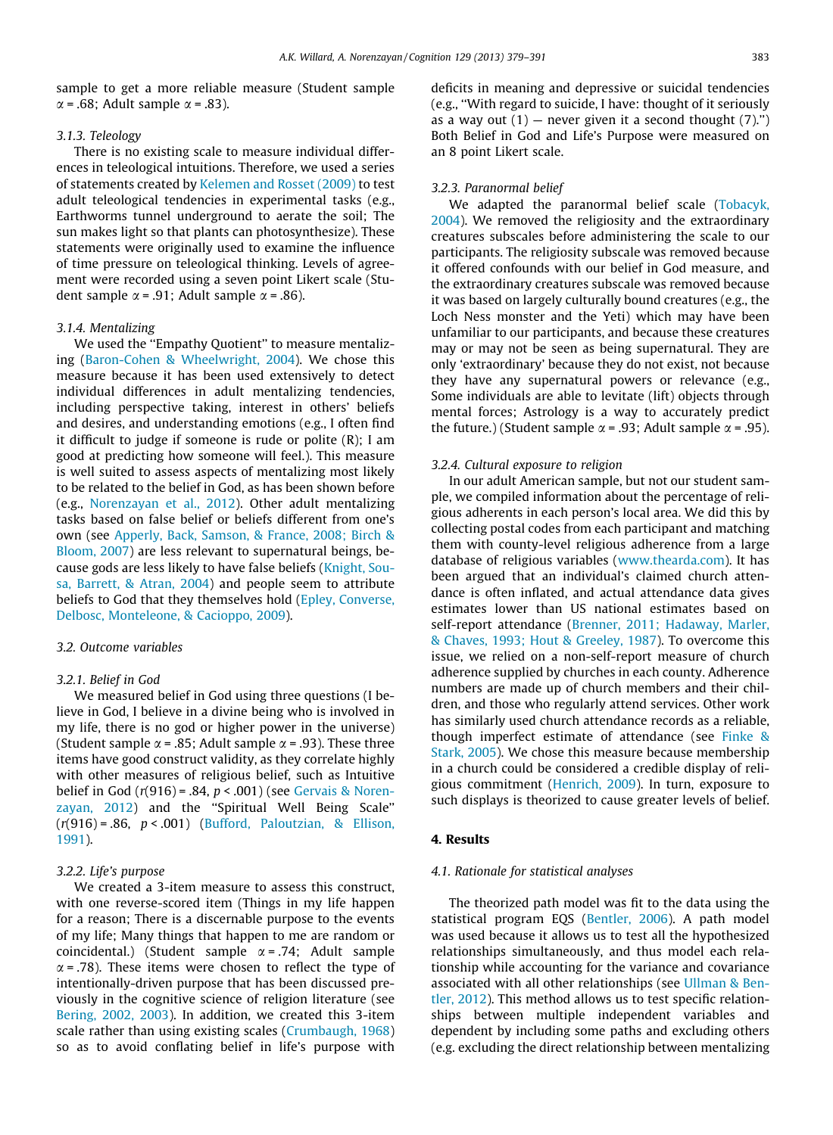sample to get a more reliable measure (Student sample  $\alpha$  = .68; Adult sample  $\alpha$  = .83).

## 3.1.3. Teleology

There is no existing scale to measure individual differences in teleological intuitions. Therefore, we used a series of statements created by [Kelemen and Rosset \(2009\)](#page-11-0) to test adult teleological tendencies in experimental tasks (e.g., Earthworms tunnel underground to aerate the soil; The sun makes light so that plants can photosynthesize). These statements were originally used to examine the influence of time pressure on teleological thinking. Levels of agreement were recorded using a seven point Likert scale (Student sample  $\alpha$  = .91; Adult sample  $\alpha$  = .86).

#### 3.1.4. Mentalizing

We used the ''Empathy Quotient'' to measure mentalizing ([Baron-Cohen & Wheelwright, 2004\)](#page-10-0). We chose this measure because it has been used extensively to detect individual differences in adult mentalizing tendencies, including perspective taking, interest in others' beliefs and desires, and understanding emotions (e.g., I often find it difficult to judge if someone is rude or polite (R); I am good at predicting how someone will feel.). This measure is well suited to assess aspects of mentalizing most likely to be related to the belief in God, as has been shown before (e.g., [Norenzayan et al., 2012\)](#page-11-0). Other adult mentalizing tasks based on false belief or beliefs different from one's own (see [Apperly, Back, Samson, & France, 2008; Birch &](#page-10-0) [Bloom, 2007](#page-10-0)) are less relevant to supernatural beings, because gods are less likely to have false beliefs ([Knight, Sou](#page-11-0)[sa, Barrett, & Atran, 2004\)](#page-11-0) and people seem to attribute beliefs to God that they themselves hold ([Epley, Converse,](#page-11-0) [Delbosc, Monteleone, & Cacioppo, 2009\)](#page-11-0).

## 3.2. Outcome variables

#### 3.2.1. Belief in God

We measured belief in God using three questions (I believe in God, I believe in a divine being who is involved in my life, there is no god or higher power in the universe) (Student sample  $\alpha$  = .85; Adult sample  $\alpha$  = .93). These three items have good construct validity, as they correlate highly with other measures of religious belief, such as Intuitive belief in God  $(r(916) = .84, p < .001)$  (see [Gervais & Noren](#page-11-0)[zayan, 2012](#page-11-0)) and the ''Spiritual Well Being Scale''  $(r(916) = .86, p < .001)$  ([Bufford, Paloutzian, & Ellison,](#page-10-0) [1991\)](#page-10-0).

## 3.2.2. Life's purpose

We created a 3-item measure to assess this construct, with one reverse-scored item (Things in my life happen for a reason; There is a discernable purpose to the events of my life; Many things that happen to me are random or coincidental.) (Student sample  $\alpha$  = .74; Adult sample  $\alpha$  = .78). These items were chosen to reflect the type of intentionally-driven purpose that has been discussed previously in the cognitive science of religion literature (see [Bering, 2002, 2003](#page-10-0)). In addition, we created this 3-item scale rather than using existing scales [\(Crumbaugh, 1968](#page-10-0)) so as to avoid conflating belief in life's purpose with deficits in meaning and depressive or suicidal tendencies (e.g., ''With regard to suicide, I have: thought of it seriously as a way out  $(1)$  – never given it a second thought  $(7)$ .") Both Belief in God and Life's Purpose were measured on an 8 point Likert scale.

#### 3.2.3. Paranormal belief

We adapted the paranormal belief scale [\(Tobacyk,](#page-11-0) [2004\)](#page-11-0). We removed the religiosity and the extraordinary creatures subscales before administering the scale to our participants. The religiosity subscale was removed because it offered confounds with our belief in God measure, and the extraordinary creatures subscale was removed because it was based on largely culturally bound creatures (e.g., the Loch Ness monster and the Yeti) which may have been unfamiliar to our participants, and because these creatures may or may not be seen as being supernatural. They are only 'extraordinary' because they do not exist, not because they have any supernatural powers or relevance (e.g., Some individuals are able to levitate (lift) objects through mental forces; Astrology is a way to accurately predict the future.) (Student sample  $\alpha$  = .93; Adult sample  $\alpha$  = .95).

## 3.2.4. Cultural exposure to religion

In our adult American sample, but not our student sample, we compiled information about the percentage of religious adherents in each person's local area. We did this by collecting postal codes from each participant and matching them with county-level religious adherence from a large database of religious variables ([www.thearda.com\)](http://www.thearda.com). It has been argued that an individual's claimed church attendance is often inflated, and actual attendance data gives estimates lower than US national estimates based on self-report attendance [\(Brenner, 2011; Hadaway, Marler,](#page-10-0) [& Chaves, 1993; Hout & Greeley, 1987](#page-10-0)). To overcome this issue, we relied on a non-self-report measure of church adherence supplied by churches in each county. Adherence numbers are made up of church members and their children, and those who regularly attend services. Other work has similarly used church attendance records as a reliable, though imperfect estimate of attendance (see [Finke &](#page-11-0) [Stark, 2005\)](#page-11-0). We chose this measure because membership in a church could be considered a credible display of religious commitment [\(Henrich, 2009\)](#page-11-0). In turn, exposure to such displays is theorized to cause greater levels of belief.

#### 4. Results

## 4.1. Rationale for statistical analyses

The theorized path model was fit to the data using the statistical program EQS ([Bentler, 2006\)](#page-10-0). A path model was used because it allows us to test all the hypothesized relationships simultaneously, and thus model each relationship while accounting for the variance and covariance associated with all other relationships (see [Ullman & Ben](#page-11-0)[tler, 2012](#page-11-0)). This method allows us to test specific relationships between multiple independent variables and dependent by including some paths and excluding others (e.g. excluding the direct relationship between mentalizing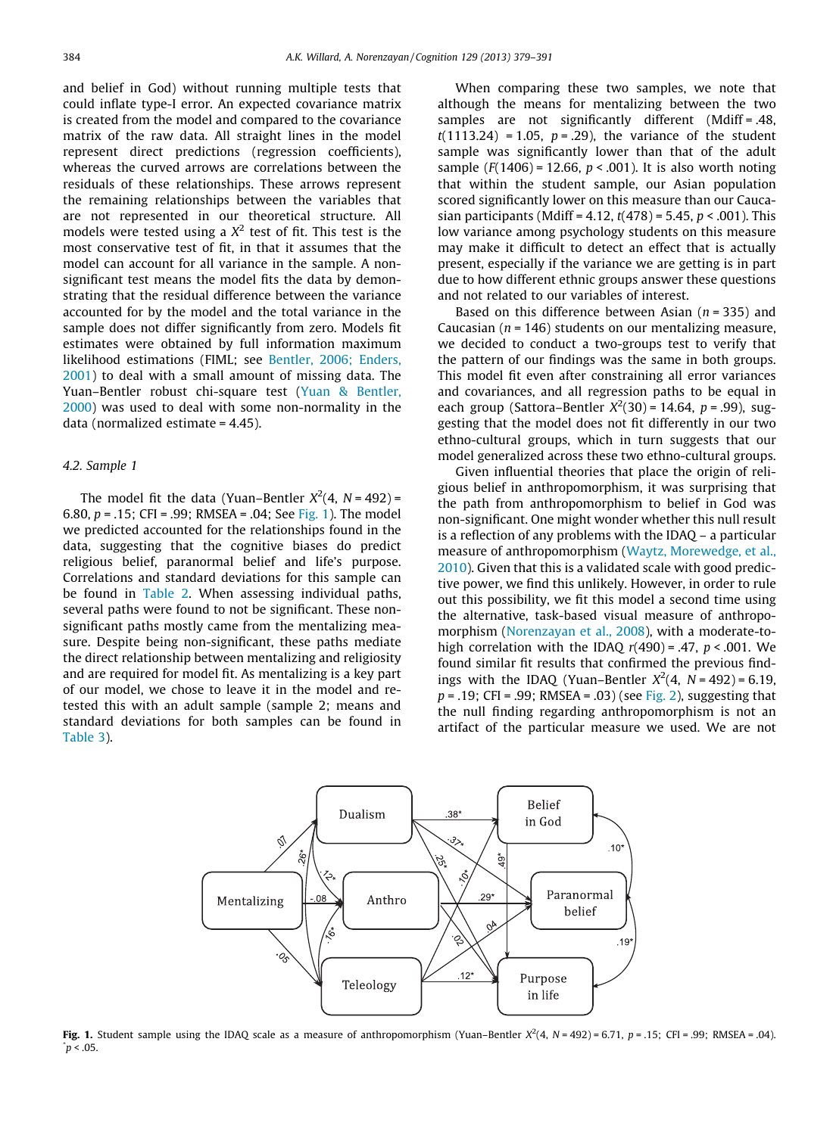and belief in God) without running multiple tests that could inflate type-I error. An expected covariance matrix is created from the model and compared to the covariance matrix of the raw data. All straight lines in the model represent direct predictions (regression coefficients), whereas the curved arrows are correlations between the residuals of these relationships. These arrows represent the remaining relationships between the variables that are not represented in our theoretical structure. All models were tested using a  $X^2$  test of fit. This test is the most conservative test of fit, in that it assumes that the model can account for all variance in the sample. A nonsignificant test means the model fits the data by demonstrating that the residual difference between the variance accounted for by the model and the total variance in the sample does not differ significantly from zero. Models fit estimates were obtained by full information maximum likelihood estimations (FIML; see [Bentler, 2006; Enders,](#page-10-0) [2001](#page-10-0)) to deal with a small amount of missing data. The Yuan–Bentler robust chi-square test ([Yuan & Bentler,](#page-12-0) [2000\)](#page-12-0) was used to deal with some non-normality in the data (normalized estimate = 4.45).

## 4.2. Sample 1

The model fit the data (Yuan–Bentler  $X^2(4, N = 492)$  = 6.80,  $p = .15$ ; CFI = .99; RMSEA = .04; See Fig. 1). The model we predicted accounted for the relationships found in the data, suggesting that the cognitive biases do predict religious belief, paranormal belief and life's purpose. Correlations and standard deviations for this sample can be found in [Table 2](#page-6-0). When assessing individual paths, several paths were found to not be significant. These nonsignificant paths mostly came from the mentalizing measure. Despite being non-significant, these paths mediate the direct relationship between mentalizing and religiosity and are required for model fit. As mentalizing is a key part of our model, we chose to leave it in the model and retested this with an adult sample (sample 2; means and standard deviations for both samples can be found in [Table 3\)](#page-6-0).

When comparing these two samples, we note that although the means for mentalizing between the two samples are not significantly different (Mdiff = .48,  $t(1113.24) = 1.05$ ,  $p = .29$ ), the variance of the student sample was significantly lower than that of the adult sample ( $F(1406) = 12.66$ ,  $p < .001$ ). It is also worth noting that within the student sample, our Asian population scored significantly lower on this measure than our Caucasian participants (Mdiff = 4.12,  $t(478)$  = 5.45,  $p < .001$ ). This low variance among psychology students on this measure may make it difficult to detect an effect that is actually present, especially if the variance we are getting is in part due to how different ethnic groups answer these questions and not related to our variables of interest.

Based on this difference between Asian ( $n = 335$ ) and Caucasian ( $n = 146$ ) students on our mentalizing measure, we decided to conduct a two-groups test to verify that the pattern of our findings was the same in both groups. This model fit even after constraining all error variances and covariances, and all regression paths to be equal in each group (Sattora–Bentler  $X^2(30)$  = 14.64, p = .99), suggesting that the model does not fit differently in our two ethno-cultural groups, which in turn suggests that our model generalized across these two ethno-cultural groups.

Given influential theories that place the origin of religious belief in anthropomorphism, it was surprising that the path from anthropomorphism to belief in God was non-significant. One might wonder whether this null result is a reflection of any problems with the IDAQ – a particular measure of anthropomorphism ([Waytz, Morewedge, et al.,](#page-12-0) [2010](#page-12-0)). Given that this is a validated scale with good predictive power, we find this unlikely. However, in order to rule out this possibility, we fit this model a second time using the alternative, task-based visual measure of anthropomorphism [\(Norenzayan et al., 2008\)](#page-11-0), with a moderate-tohigh correlation with the IDAO  $r(490) = .47$ ,  $p < .001$ . We found similar fit results that confirmed the previous findings with the IDAQ (Yuan–Bentler  $X^2(4, N = 492) = 6.19$  $p = .19$ ; CFI = .99; RMSEA = .03) (see [Fig. 2](#page-6-0)), suggesting that the null finding regarding anthropomorphism is not an artifact of the particular measure we used. We are not



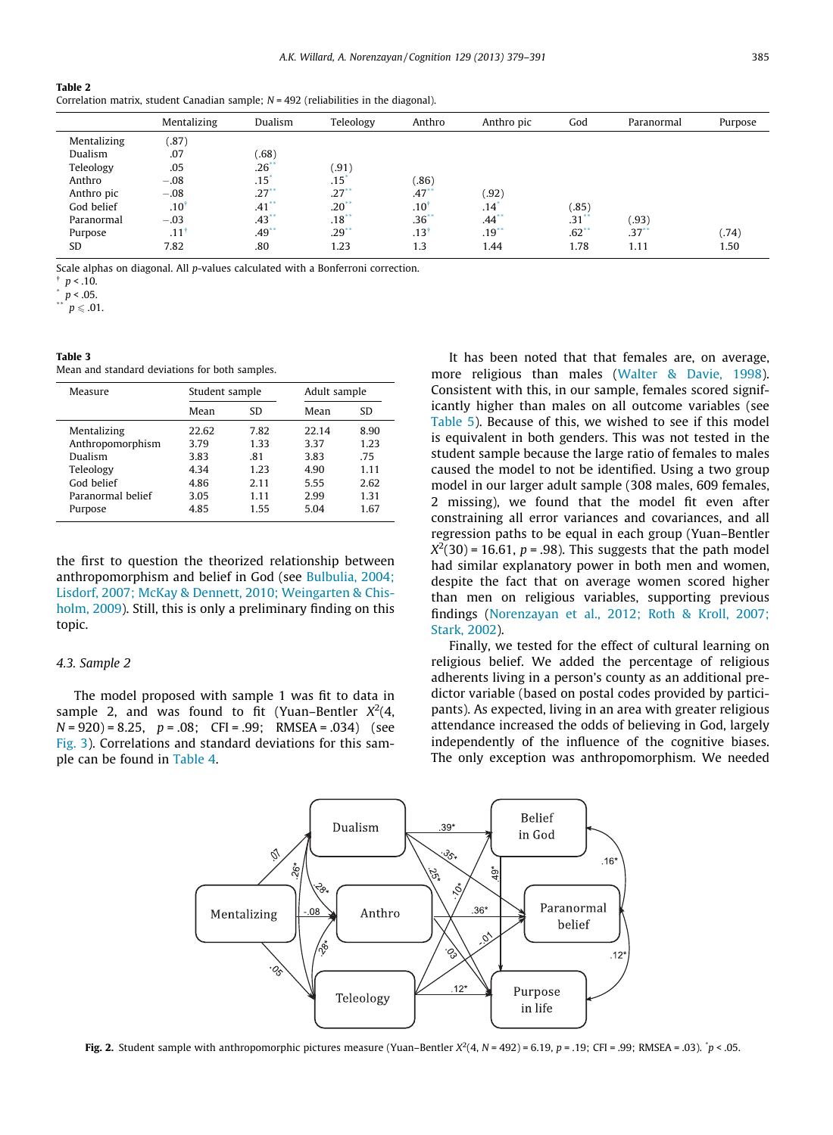#### <span id="page-6-0"></span>Table 2

Correlation matrix, student Canadian sample;  $N = 492$  (reliabilities in the diagonal).

|             | Mentalizing     | Dualism            | Teleology  | Anthro          | Anthro pic       | God      | Paranormal | Purpose |
|-------------|-----------------|--------------------|------------|-----------------|------------------|----------|------------|---------|
| Mentalizing | .87)            |                    |            |                 |                  |          |            |         |
| Dualism     | .07             | .68)               |            |                 |                  |          |            |         |
| Teleology   | .05             | .26                | (.91)      |                 |                  |          |            |         |
| Anthro      | $-.08$          | $.15$ <sup>*</sup> | .15        | (.86)           |                  |          |            |         |
| Anthro pic  | $-.08$          | $27$ **            | $.27***$   | .47             | .92)             |          |            |         |
| God belief  | $.10^{\dagger}$ | 41                 | $.20^{**}$ | $.10^{\dagger}$ | .14 <sup>7</sup> | (.85)    |            |         |
| Paranormal  | $-.03$          | $.43$ **           | $.18***$   | $.36***$        | .44              | .31      | (93)       |         |
| Purpose     | $.11^{\dagger}$ | .49                | $.29**$    | $.13^{\dagger}$ | $.19$ **         | $.62$ ** | .37        | (.74)   |
| <b>SD</b>   | 7.82            | .80                | 1.23       | 1.3             | 1.44             | 1.78     | 1.11       | 1.50    |

Scale alphas on diagonal. All p-values calculated with a Bonferroni correction.

 $p < .05$ .

 $p \leqslant .01$ .

#### Table 3

Mean and standard deviations for both samples.

| Measure           | Student sample |      | Adult sample |      |
|-------------------|----------------|------|--------------|------|
|                   | Mean           | SD   | Mean         | SD   |
| Mentalizing       | 22.62          | 7.82 | 22.14        | 8.90 |
| Anthropomorphism  | 3.79           | 1.33 | 3.37         | 1.23 |
| Dualism           | 3.83           | .81  | 3.83         | .75  |
| Teleology         | 4.34           | 1 23 | 4.90         | 1.11 |
| God belief        | 4.86           | 2.11 | 5.55         | 2.62 |
| Paranormal belief | 3.05           | 1.11 | 2.99         | 1.31 |
| Purpose           | 4.85           | 1.55 | 5.04         | 1.67 |

the first to question the theorized relationship between anthropomorphism and belief in God (see [Bulbulia, 2004;](#page-10-0) [Lisdorf, 2007; McKay & Dennett, 2010; Weingarten & Chis](#page-10-0)[holm, 2009\)](#page-10-0). Still, this is only a preliminary finding on this topic.

## 4.3. Sample 2

The model proposed with sample 1 was fit to data in sample 2, and was found to fit (Yuan–Bentler  $X^2(4,$  $N = 920$ ) = 8.25,  $p = .08$ ; CFI = .99; RMSEA = .034) (see [Fig. 3](#page-7-0)). Correlations and standard deviations for this sample can be found in [Table 4.](#page-7-0)

It has been noted that that females are, on average, more religious than males ([Walter & Davie, 1998](#page-11-0)). Consistent with this, in our sample, females scored significantly higher than males on all outcome variables (see [Table 5](#page-7-0)). Because of this, we wished to see if this model is equivalent in both genders. This was not tested in the student sample because the large ratio of females to males caused the model to not be identified. Using a two group model in our larger adult sample (308 males, 609 females, 2 missing), we found that the model fit even after constraining all error variances and covariances, and all regression paths to be equal in each group (Yuan–Bentler  $X^2(30)$  = 16.61, p = .98). This suggests that the path model had similar explanatory power in both men and women, despite the fact that on average women scored higher than men on religious variables, supporting previous findings [\(Norenzayan et al., 2012; Roth & Kroll, 2007;](#page-11-0) [Stark, 2002\)](#page-11-0).

Finally, we tested for the effect of cultural learning on religious belief. We added the percentage of religious adherents living in a person's county as an additional predictor variable (based on postal codes provided by participants). As expected, living in an area with greater religious attendance increased the odds of believing in God, largely independently of the influence of the cognitive biases. The only exception was anthropomorphism. We needed



Fig. 2. Student sample with anthropomorphic pictures measure (Yuan–Bentler  $X^2(4, N = 492) = 6.19$ ,  $p = .19$ ; CFI = .99; RMSEA = .03).  $p \lt .05$ .

 $p < .10$ .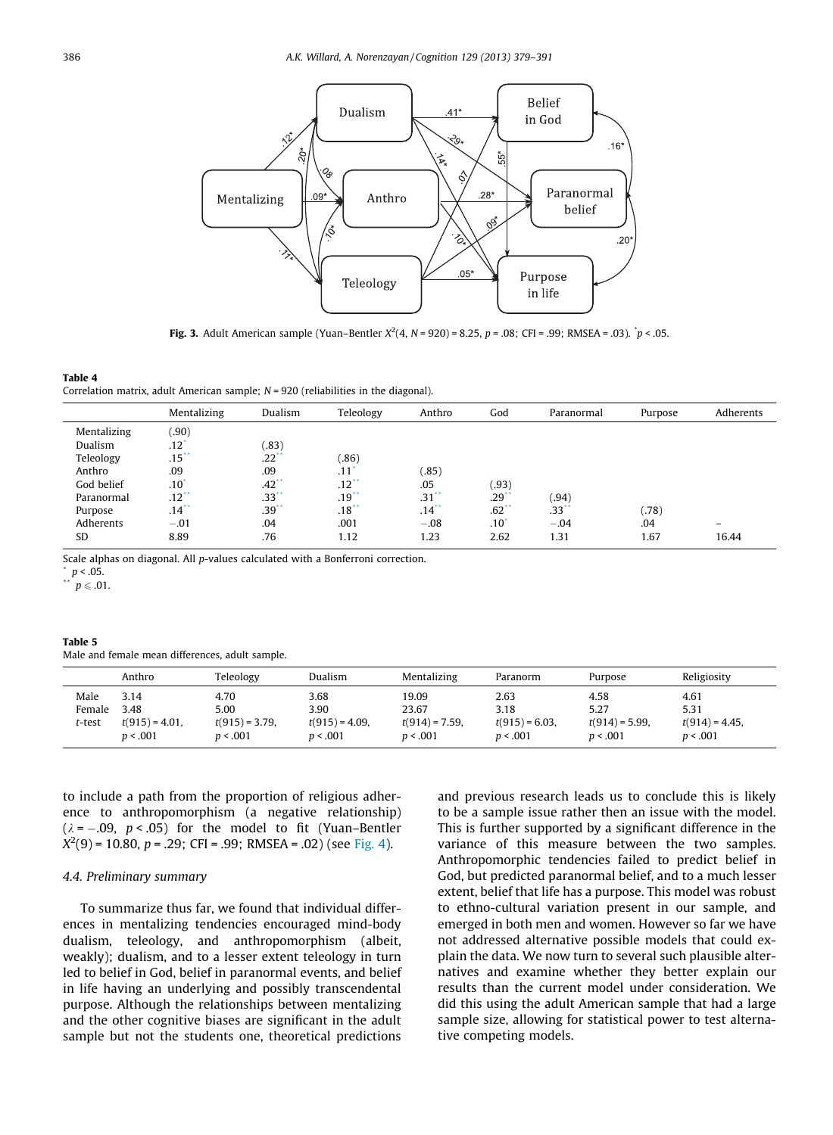<span id="page-7-0"></span>

**Fig. 3.** Adult American sample (Yuan–Bentler  $X^2(4, N = 920) = 8.25$ ,  $p = .08$ ; CFI = .99; RMSEA = .03).  $p < .05$ .

## Table 4 Correlation matrix, adult American sample;  $N = 920$  (reliabilities in the diagonal).

|             | Mentalizing         | Dualism             | Teleology           | Anthro              | God                 | Paranormal | Purpose | Adherents |
|-------------|---------------------|---------------------|---------------------|---------------------|---------------------|------------|---------|-----------|
| Mentalizing | .90)                |                     |                     |                     |                     |            |         |           |
| Dualism     | .12                 | (.83)               |                     |                     |                     |            |         |           |
| Teleology   | .15                 | $.22$ **            | (.86)               |                     |                     |            |         |           |
| Anthro      | .09                 | .09                 | .11                 | (.85)               |                     |            |         |           |
| God belief  | .10 <sup>°</sup>    | $.42$ <sup>**</sup> | $.12$ <sup>**</sup> | .05                 | (0.93)              |            |         |           |
| Paranormal  | $.12$ <sup>**</sup> | $.33***$            | $.19$ **            | $.31$ <sup>**</sup> | $.29$ <sup>**</sup> | (94)       |         |           |
| Purpose     | $.14$ <sup>**</sup> | $.39***$            | $.18$ <sup>**</sup> | $.14$ <sup>**</sup> | $.62$ **            | .33        | (78)    |           |
| Adherents   | $-.01$              | .04                 | .001                | $-.08$              | .10 <sup>°</sup>    | $-.04$     | .04     |           |
| SD          | 8.89                | .76                 | 1.12                | 1.23                | 2.62                | 1.31       | 1.67    | 16.44     |

Scale alphas on diagonal. All p-values calculated with a Bonferroni correction.

 $p < 0.05$ .  $p \leqslant .01$ .

Table 5 Male and female mean differences, adult sample.

|                     | Anthro                    | Teleology               | Dualism                   | Mentalizing                | Paranorm                | Purpose                 | Religiosity               |
|---------------------|---------------------------|-------------------------|---------------------------|----------------------------|-------------------------|-------------------------|---------------------------|
| Male                | 3.14                      | 4.70                    | 3.68                      | 19.09                      | 2.63                    | 4.58                    | 4.61                      |
| Female<br>$t$ -test | 3.48<br>$t(915) = 4.01$ , | 5.00<br>$t(915) = 3.79$ | 3.90<br>$t(915) = 4.09$ , | 23.67<br>$t(914) = 7.59$ . | 3.18<br>$t(915) = 6.03$ | 5.27<br>$t(914) = 5.99$ | 5.31<br>$t(914) = 4.45$ , |
|                     | p < .001                  | p < .001                | p < .001                  | p < .001                   | p < .001                | p < .001                | p < .001                  |

to include a path from the proportion of religious adherence to anthropomorphism (a negative relationship) ( $\lambda$  = –.09,  $p$  < .05) for the model to fit (Yuan–Bentler  $X^2(9) = 10.80$ ,  $p = .29$ ; CFI = .99; RMSEA = .02) (see [Fig. 4](#page-8-0)).

## 4.4. Preliminary summary

To summarize thus far, we found that individual differences in mentalizing tendencies encouraged mind-body dualism, teleology, and anthropomorphism (albeit, weakly); dualism, and to a lesser extent teleology in turn led to belief in God, belief in paranormal events, and belief in life having an underlying and possibly transcendental purpose. Although the relationships between mentalizing and the other cognitive biases are significant in the adult sample but not the students one, theoretical predictions

and previous research leads us to conclude this is likely to be a sample issue rather then an issue with the model. This is further supported by a significant difference in the variance of this measure between the two samples. Anthropomorphic tendencies failed to predict belief in God, but predicted paranormal belief, and to a much lesser extent, belief that life has a purpose. This model was robust to ethno-cultural variation present in our sample, and emerged in both men and women. However so far we have not addressed alternative possible models that could explain the data. We now turn to several such plausible alternatives and examine whether they better explain our results than the current model under consideration. We did this using the adult American sample that had a large sample size, allowing for statistical power to test alternative competing models.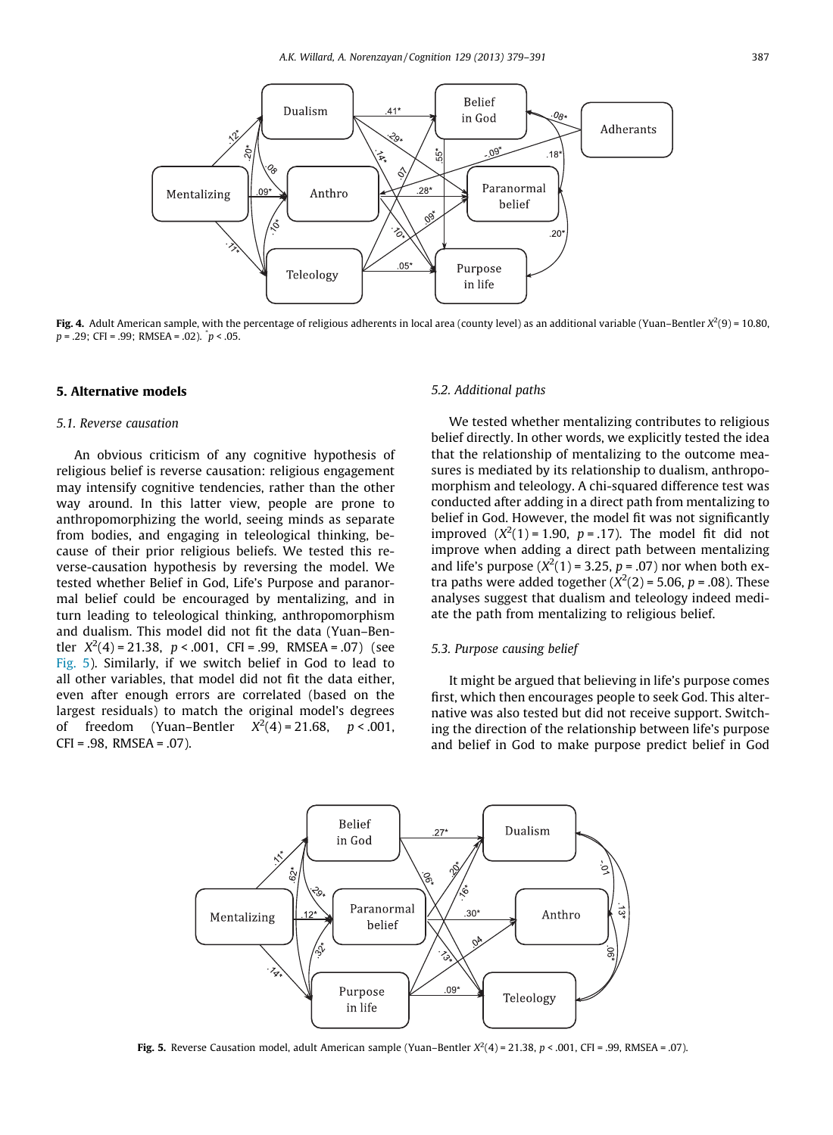<span id="page-8-0"></span>

**Fig. 4.** Adult American sample, with the percentage of religious adherents in local area (county level) as an additional variable (Yuan–Bentler  $X^2(9)$  = 10.80,  $p = .29$ ; CFI = .99; RMSEA = .02).  $\dot{p}$  < .05.

## 5. Alternative models

## 5.1. Reverse causation

An obvious criticism of any cognitive hypothesis of religious belief is reverse causation: religious engagement may intensify cognitive tendencies, rather than the other way around. In this latter view, people are prone to anthropomorphizing the world, seeing minds as separate from bodies, and engaging in teleological thinking, because of their prior religious beliefs. We tested this reverse-causation hypothesis by reversing the model. We tested whether Belief in God, Life's Purpose and paranormal belief could be encouraged by mentalizing, and in turn leading to teleological thinking, anthropomorphism and dualism. This model did not fit the data (Yuan–Bentler  $X^2(4) = 21.38$ ,  $p < .001$ , CFI = .99, RMSEA = .07) (see Fig. 5). Similarly, if we switch belief in God to lead to all other variables, that model did not fit the data either, even after enough errors are correlated (based on the largest residuals) to match the original model's degrees of freedom (Yuan–Bentler  $X^2(4) = 21.68$ ,  $p < .001$ , CFI = .98, RMSEA = .07).

#### 5.2. Additional paths

We tested whether mentalizing contributes to religious belief directly. In other words, we explicitly tested the idea that the relationship of mentalizing to the outcome measures is mediated by its relationship to dualism, anthropomorphism and teleology. A chi-squared difference test was conducted after adding in a direct path from mentalizing to belief in God. However, the model fit was not significantly improved  $(X^2(1) = 1.90, p = .17)$ . The model fit did not improve when adding a direct path between mentalizing and life's purpose  $(X^2(1) = 3.25, p = .07)$  nor when both extra paths were added together  $(X^2(2) = 5.06, p = .08)$ . These analyses suggest that dualism and teleology indeed mediate the path from mentalizing to religious belief.

## 5.3. Purpose causing belief

It might be argued that believing in life's purpose comes first, which then encourages people to seek God. This alternative was also tested but did not receive support. Switching the direction of the relationship between life's purpose and belief in God to make purpose predict belief in God



Fig. 5. Reverse Causation model, adult American sample (Yuan–Bentler  $X^2(4) = 21.38$ ,  $p < .001$ , CFI = .99, RMSEA = .07).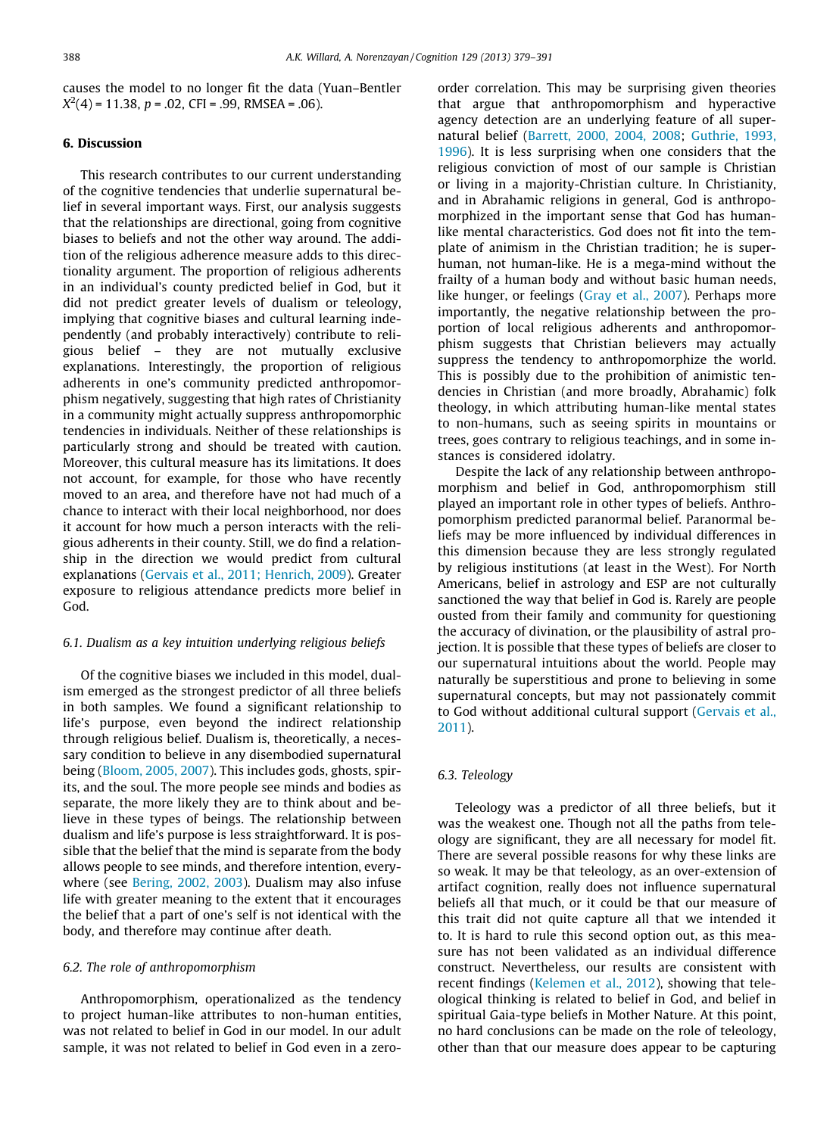causes the model to no longer fit the data (Yuan–Bentler  $X^2(4) = 11.38$ ,  $p = .02$ , CFI = .99, RMSEA = .06).

## 6. Discussion

This research contributes to our current understanding of the cognitive tendencies that underlie supernatural belief in several important ways. First, our analysis suggests that the relationships are directional, going from cognitive biases to beliefs and not the other way around. The addition of the religious adherence measure adds to this directionality argument. The proportion of religious adherents in an individual's county predicted belief in God, but it did not predict greater levels of dualism or teleology, implying that cognitive biases and cultural learning independently (and probably interactively) contribute to religious belief – they are not mutually exclusive explanations. Interestingly, the proportion of religious adherents in one's community predicted anthropomorphism negatively, suggesting that high rates of Christianity in a community might actually suppress anthropomorphic tendencies in individuals. Neither of these relationships is particularly strong and should be treated with caution. Moreover, this cultural measure has its limitations. It does not account, for example, for those who have recently moved to an area, and therefore have not had much of a chance to interact with their local neighborhood, nor does it account for how much a person interacts with the religious adherents in their county. Still, we do find a relationship in the direction we would predict from cultural explanations [\(Gervais et al., 2011; Henrich, 2009\)](#page-11-0). Greater exposure to religious attendance predicts more belief in God.

## 6.1. Dualism as a key intuition underlying religious beliefs

Of the cognitive biases we included in this model, dualism emerged as the strongest predictor of all three beliefs in both samples. We found a significant relationship to life's purpose, even beyond the indirect relationship through religious belief. Dualism is, theoretically, a necessary condition to believe in any disembodied supernatural being [\(Bloom, 2005, 2007\)](#page-10-0). This includes gods, ghosts, spirits, and the soul. The more people see minds and bodies as separate, the more likely they are to think about and believe in these types of beings. The relationship between dualism and life's purpose is less straightforward. It is possible that the belief that the mind is separate from the body allows people to see minds, and therefore intention, everywhere (see [Bering, 2002, 2003\)](#page-10-0). Dualism may also infuse life with greater meaning to the extent that it encourages the belief that a part of one's self is not identical with the body, and therefore may continue after death.

## 6.2. The role of anthropomorphism

Anthropomorphism, operationalized as the tendency to project human-like attributes to non-human entities, was not related to belief in God in our model. In our adult sample, it was not related to belief in God even in a zero-

order correlation. This may be surprising given theories that argue that anthropomorphism and hyperactive agency detection are an underlying feature of all supernatural belief [\(Barrett, 2000, 2004, 2008](#page-10-0); [Guthrie, 1993,](#page-11-0) [1996](#page-11-0)). It is less surprising when one considers that the religious conviction of most of our sample is Christian or living in a majority-Christian culture. In Christianity, and in Abrahamic religions in general, God is anthropomorphized in the important sense that God has humanlike mental characteristics. God does not fit into the template of animism in the Christian tradition; he is superhuman, not human-like. He is a mega-mind without the frailty of a human body and without basic human needs, like hunger, or feelings ([Gray et al., 2007](#page-11-0)). Perhaps more importantly, the negative relationship between the proportion of local religious adherents and anthropomorphism suggests that Christian believers may actually suppress the tendency to anthropomorphize the world. This is possibly due to the prohibition of animistic tendencies in Christian (and more broadly, Abrahamic) folk theology, in which attributing human-like mental states to non-humans, such as seeing spirits in mountains or trees, goes contrary to religious teachings, and in some instances is considered idolatry.

Despite the lack of any relationship between anthropomorphism and belief in God, anthropomorphism still played an important role in other types of beliefs. Anthropomorphism predicted paranormal belief. Paranormal beliefs may be more influenced by individual differences in this dimension because they are less strongly regulated by religious institutions (at least in the West). For North Americans, belief in astrology and ESP are not culturally sanctioned the way that belief in God is. Rarely are people ousted from their family and community for questioning the accuracy of divination, or the plausibility of astral projection. It is possible that these types of beliefs are closer to our supernatural intuitions about the world. People may naturally be superstitious and prone to believing in some supernatural concepts, but may not passionately commit to God without additional cultural support ([Gervais et al.,](#page-11-0) [2011](#page-11-0)).

#### 6.3. Teleology

Teleology was a predictor of all three beliefs, but it was the weakest one. Though not all the paths from teleology are significant, they are all necessary for model fit. There are several possible reasons for why these links are so weak. It may be that teleology, as an over-extension of artifact cognition, really does not influence supernatural beliefs all that much, or it could be that our measure of this trait did not quite capture all that we intended it to. It is hard to rule this second option out, as this measure has not been validated as an individual difference construct. Nevertheless, our results are consistent with recent findings ([Kelemen et al., 2012\)](#page-11-0), showing that teleological thinking is related to belief in God, and belief in spiritual Gaia-type beliefs in Mother Nature. At this point, no hard conclusions can be made on the role of teleology, other than that our measure does appear to be capturing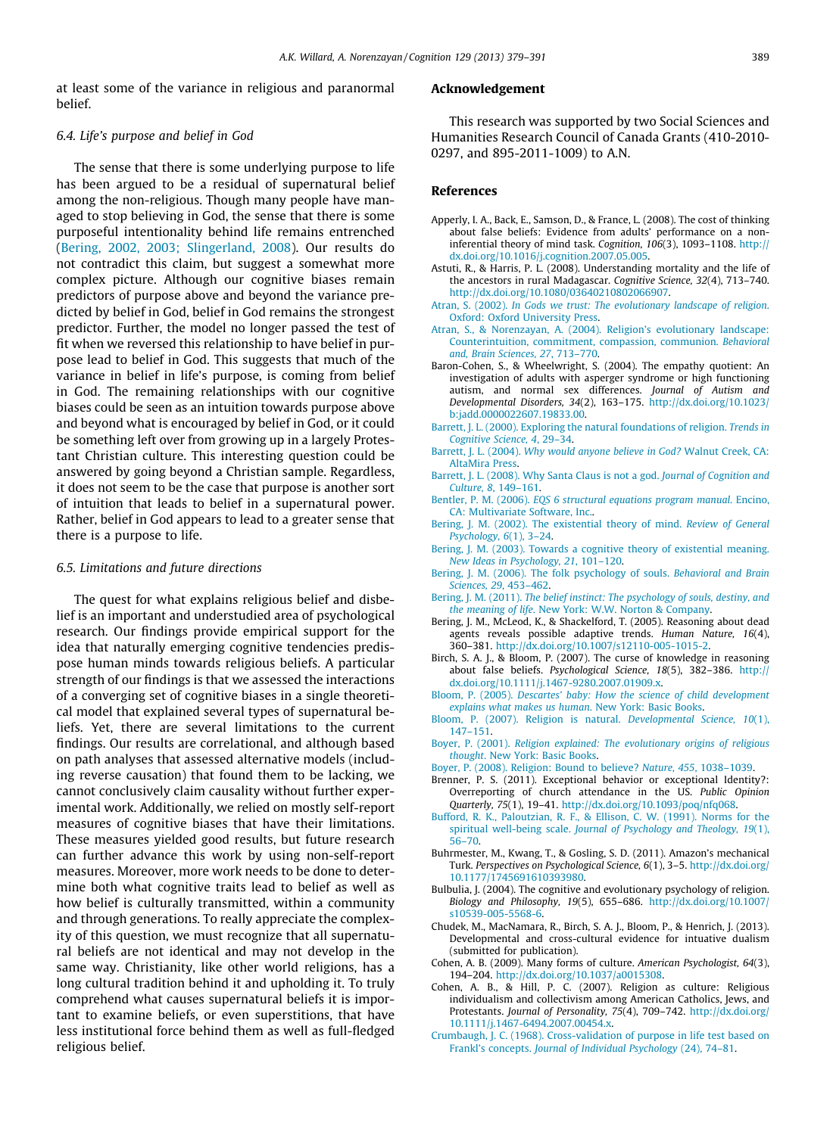<span id="page-10-0"></span>at least some of the variance in religious and paranormal belief.

## 6.4. Life's purpose and belief in God

The sense that there is some underlying purpose to life has been argued to be a residual of supernatural belief among the non-religious. Though many people have managed to stop believing in God, the sense that there is some purposeful intentionality behind life remains entrenched (Bering, 2002, 2003; Slingerland, 2008). Our results do not contradict this claim, but suggest a somewhat more complex picture. Although our cognitive biases remain predictors of purpose above and beyond the variance predicted by belief in God, belief in God remains the strongest predictor. Further, the model no longer passed the test of fit when we reversed this relationship to have belief in purpose lead to belief in God. This suggests that much of the variance in belief in life's purpose, is coming from belief in God. The remaining relationships with our cognitive biases could be seen as an intuition towards purpose above and beyond what is encouraged by belief in God, or it could be something left over from growing up in a largely Protestant Christian culture. This interesting question could be answered by going beyond a Christian sample. Regardless, it does not seem to be the case that purpose is another sort of intuition that leads to belief in a supernatural power. Rather, belief in God appears to lead to a greater sense that there is a purpose to life.

## 6.5. Limitations and future directions

The quest for what explains religious belief and disbelief is an important and understudied area of psychological research. Our findings provide empirical support for the idea that naturally emerging cognitive tendencies predispose human minds towards religious beliefs. A particular strength of our findings is that we assessed the interactions of a converging set of cognitive biases in a single theoretical model that explained several types of supernatural beliefs. Yet, there are several limitations to the current findings. Our results are correlational, and although based on path analyses that assessed alternative models (including reverse causation) that found them to be lacking, we cannot conclusively claim causality without further experimental work. Additionally, we relied on mostly self-report measures of cognitive biases that have their limitations. These measures yielded good results, but future research can further advance this work by using non-self-report measures. Moreover, more work needs to be done to determine both what cognitive traits lead to belief as well as how belief is culturally transmitted, within a community and through generations. To really appreciate the complexity of this question, we must recognize that all supernatural beliefs are not identical and may not develop in the same way. Christianity, like other world religions, has a long cultural tradition behind it and upholding it. To truly comprehend what causes supernatural beliefs it is important to examine beliefs, or even superstitions, that have less institutional force behind them as well as full-fledged religious belief.

## Acknowledgement

This research was supported by two Social Sciences and Humanities Research Council of Canada Grants (410-2010- 0297, and 895-2011-1009) to A.N.

#### References

- Apperly, I. A., Back, E., Samson, D., & France, L. (2008). The cost of thinking about false beliefs: Evidence from adults' performance on a noninferential theory of mind task. Cognition, 106(3), 1093–1108. [http://](http://dx.doi.org/10.1016/j.cognition.2007.05.005) [dx.doi.org/10.1016/j.cognition.2007.05.005.](http://dx.doi.org/10.1016/j.cognition.2007.05.005)
- Astuti, R., & Harris, P. L. (2008). Understanding mortality and the life of the ancestors in rural Madagascar. Cognitive Science, 32(4), 713–740. <http://dx.doi.org/10.1080/03640210802066907>.
- Atran, S. (2002). [In Gods we trust: The evolutionary landscape of religion](http://refhub.elsevier.com/S0010-0277(13)00149-2/h0015). [Oxford: Oxford University Press.](http://refhub.elsevier.com/S0010-0277(13)00149-2/h0015)
- [Atran, S., & Norenzayan, A. \(2004\). Religion's evolutionary landscape:](http://refhub.elsevier.com/S0010-0277(13)00149-2/h0390) [Counterintuition, commitment, compassion, communion.](http://refhub.elsevier.com/S0010-0277(13)00149-2/h0390) Behavioral [and, Brain Sciences, 27](http://refhub.elsevier.com/S0010-0277(13)00149-2/h0390), 713–770.
- Baron-Cohen, S., & Wheelwright, S. (2004). The empathy quotient: An investigation of adults with asperger syndrome or high functioning autism, and normal sex differences. Journal of Autism and Developmental Disorders, 34(2), 163–175. [http://dx.doi.org/10.1023/](http://dx.doi.org/10.1023/b:jadd.0000022607.19833.00) [b:jadd.0000022607.19833.00](http://dx.doi.org/10.1023/b:jadd.0000022607.19833.00).
- [Barrett, J. L. \(2000\). Exploring the natural foundations of religion.](http://refhub.elsevier.com/S0010-0277(13)00149-2/h0025) Trends in [Cognitive Science, 4](http://refhub.elsevier.com/S0010-0277(13)00149-2/h0025), 29–34.
- Barrett, J. L. (2004). [Why would anyone believe in God?](http://refhub.elsevier.com/S0010-0277(13)00149-2/h0030) Walnut Creek, CA: [AltaMira Press.](http://refhub.elsevier.com/S0010-0277(13)00149-2/h0030)
- [Barrett, J. L. \(2008\). Why Santa Claus is not a god.](http://refhub.elsevier.com/S0010-0277(13)00149-2/h0035) Journal of Cognition and Culture, 8[, 149–161.](http://refhub.elsevier.com/S0010-0277(13)00149-2/h0035)
- Bentler, P. M. (2006). [EQS 6 structural equations program manual](http://refhub.elsevier.com/S0010-0277(13)00149-2/h0040). Encino, [CA: Multivariate Software, Inc.](http://refhub.elsevier.com/S0010-0277(13)00149-2/h0040).
- [Bering, J. M. \(2002\). The existential theory of mind.](http://refhub.elsevier.com/S0010-0277(13)00149-2/h0045) Review of General [Psychology, 6](http://refhub.elsevier.com/S0010-0277(13)00149-2/h0045)(1), 3–24.
- [Bering, J. M. \(2003\). Towards a cognitive theory of existential meaning.](http://refhub.elsevier.com/S0010-0277(13)00149-2/h0050) [New Ideas in Psychology, 21](http://refhub.elsevier.com/S0010-0277(13)00149-2/h0050), 101–120.
- [Bering, J. M. \(2006\). The folk psychology of souls.](http://refhub.elsevier.com/S0010-0277(13)00149-2/h0055) Behavioral and Brain [Sciences, 29](http://refhub.elsevier.com/S0010-0277(13)00149-2/h0055), 453–462.
- Bering, J. M. (2011). [The belief instinct: The psychology of souls, destiny, and](http://refhub.elsevier.com/S0010-0277(13)00149-2/h0060) the meaning of life[. New York: W.W. Norton & Company](http://refhub.elsevier.com/S0010-0277(13)00149-2/h0060).
- Bering, J. M., McLeod, K., & Shackelford, T. (2005). Reasoning about dead agents reveals possible adaptive trends. Human Nature, 16(4), 360–381. <http://dx.doi.org/10.1007/s12110-005-1015-2>.
- Birch, S. A. J., & Bloom, P. (2007). The curse of knowledge in reasoning about false beliefs. Psychological Science, 18(5), 382–386. [http://](http://dx.doi.org/10.1111/j.1467-9280.2007.01909.x) [dx.doi.org/10.1111/j.1467-9280.2007.01909.x](http://dx.doi.org/10.1111/j.1467-9280.2007.01909.x).
- Bloom, P. (2005). [Descartes' baby: How the science of child development](http://refhub.elsevier.com/S0010-0277(13)00149-2/h0075) [explains what makes us human](http://refhub.elsevier.com/S0010-0277(13)00149-2/h0075). New York: Basic Books.
- [Bloom, P. \(2007\). Religion is natural.](http://refhub.elsevier.com/S0010-0277(13)00149-2/h0080) Developmental Science, 10(1), [147–151.](http://refhub.elsevier.com/S0010-0277(13)00149-2/h0080)
- Boyer, P. (2001). [Religion explained: The evolutionary origins of religious](http://refhub.elsevier.com/S0010-0277(13)00149-2/h0085) thought[. New York: Basic Books.](http://refhub.elsevier.com/S0010-0277(13)00149-2/h0085)
- [Boyer, P. \(2008\). Religion: Bound to believe?](http://refhub.elsevier.com/S0010-0277(13)00149-2/h0090) Nature, 455, 1038–1039.
- Brenner, P. S. (2011). Exceptional behavior or exceptional Identity?: Overreporting of church attendance in the US. Public Opinion Quarterly, 75(1), 19–41. <http://dx.doi.org/10.1093/poq/nfq068>.
- [Bufford, R. K., Paloutzian, R. F., & Ellison, C. W. \(1991\). Norms for the](http://refhub.elsevier.com/S0010-0277(13)00149-2/h0100) spiritual well-being scale. [Journal of Psychology and Theology, 19](http://refhub.elsevier.com/S0010-0277(13)00149-2/h0100)(1), [56–70.](http://refhub.elsevier.com/S0010-0277(13)00149-2/h0100)
- Buhrmester, M., Kwang, T., & Gosling, S. D. (2011). Amazon's mechanical Turk. Perspectives on Psychological Science, 6(1), 3–5. [http://dx.doi.org/](http://dx.doi.org/10.1177/1745691610393980) [10.1177/1745691610393980.](http://dx.doi.org/10.1177/1745691610393980)
- Bulbulia, J. (2004). The cognitive and evolutionary psychology of religion. Biology and Philosophy, 19(5), 655–686. [http://dx.doi.org/10.1007/](http://dx.doi.org/10.1007/s10539-005-5568-6) [s10539-005-5568-6](http://dx.doi.org/10.1007/s10539-005-5568-6).
- Chudek, M., MacNamara, R., Birch, S. A. J., Bloom, P., & Henrich, J. (2013). Developmental and cross-cultural evidence for intuative dualism (submitted for publication).
- Cohen, A. B. (2009). Many forms of culture. American Psychologist, 64(3), 194–204. [http://dx.doi.org/10.1037/a0015308.](http://dx.doi.org/10.1037/a0015308)
- Cohen, A. B., & Hill, P. C. (2007). Religion as culture: Religious individualism and collectivism among American Catholics, Jews, and Protestants. Journal of Personality, 75(4), 709-742. [http://dx.doi.org/](http://dx.doi.org/10.1111/j.1467-6494.2007.00454.x) [10.1111/j.1467-6494.2007.00454.x.](http://dx.doi.org/10.1111/j.1467-6494.2007.00454.x)
- [Crumbaugh, J. C. \(1968\). Cross-validation of purpose in life test based on](http://refhub.elsevier.com/S0010-0277(13)00149-2/h0395) Frankl's concepts. [Journal of Individual Psychology](http://refhub.elsevier.com/S0010-0277(13)00149-2/h0395) (24), 74–81.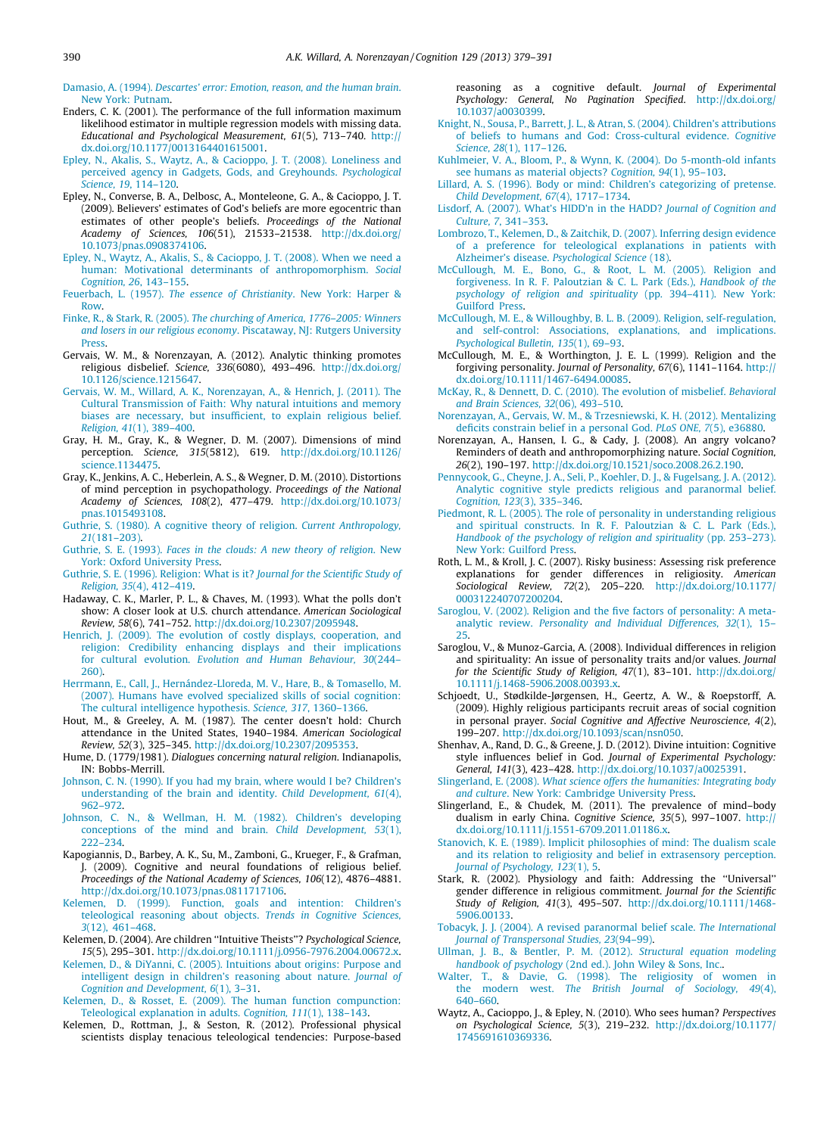<span id="page-11-0"></span>Damasio, A. (1994). [Descartes' error: Emotion, reason, and the human brain](http://refhub.elsevier.com/S0010-0277(13)00149-2/h0125). [New York: Putnam](http://refhub.elsevier.com/S0010-0277(13)00149-2/h0125).

- Enders, C. K. (2001). The performance of the full information maximum likelihood estimator in multiple regression models with missing data. Educational and Psychological Measurement, 61(5), 713–740. [http://](http://dx.doi.org/10.1177/0013164401615001) [dx.doi.org/10.1177/0013164401615001.](http://dx.doi.org/10.1177/0013164401615001)
- [Epley, N., Akalis, S., Waytz, A., & Cacioppo, J. T. \(2008\). Loneliness and](http://refhub.elsevier.com/S0010-0277(13)00149-2/h0135) [perceived agency in Gadgets, Gods, and Greyhounds.](http://refhub.elsevier.com/S0010-0277(13)00149-2/h0135) Psychological [Science, 19](http://refhub.elsevier.com/S0010-0277(13)00149-2/h0135), 114–120.
- Epley, N., Converse, B. A., Delbosc, A., Monteleone, G. A., & Cacioppo, J. T. (2009). Believers' estimates of God's beliefs are more egocentric than estimates of other people's beliefs. Proceedings of the National Academy of Sciences, 106(51), 21533–21538. [http://dx.doi.org/](http://dx.doi.org/10.1073/pnas.0908374106) [10.1073/pnas.0908374106](http://dx.doi.org/10.1073/pnas.0908374106).
- [Epley, N., Waytz, A., Akalis, S., & Cacioppo, J. T. \(2008\). When we need a](http://refhub.elsevier.com/S0010-0277(13)00149-2/h0145) [human: Motivational determinants of anthropomorphism.](http://refhub.elsevier.com/S0010-0277(13)00149-2/h0145) Social [Cognition, 26](http://refhub.elsevier.com/S0010-0277(13)00149-2/h0145), 143–155.
- Feuerbach, L. (1957). [The essence of Christianity](http://refhub.elsevier.com/S0010-0277(13)00149-2/h0150). New York: Harper & [Row](http://refhub.elsevier.com/S0010-0277(13)00149-2/h0150).
- Finke, R., & Stark, R. (2005). [The churching of America, 1776–2005: Winners](http://refhub.elsevier.com/S0010-0277(13)00149-2/h0155) and losers in our religious economy[. Piscataway, NJ: Rutgers University](http://refhub.elsevier.com/S0010-0277(13)00149-2/h0155) **Press**
- Gervais, W. M., & Norenzayan, A. (2012). Analytic thinking promotes religious disbelief. Science, 336(6080), 493–496. [http://dx.doi.org/](http://dx.doi.org/10.1126/science.1215647) [10.1126/science.1215647](http://dx.doi.org/10.1126/science.1215647).
- [Gervais, W. M., Willard, A. K., Norenzayan, A., & Henrich, J. \(2011\). The](http://refhub.elsevier.com/S0010-0277(13)00149-2/h0165) [Cultural Transmission of Faith: Why natural intuitions and memory](http://refhub.elsevier.com/S0010-0277(13)00149-2/h0165) [biases are necessary, but insufficient, to explain religious belief.](http://refhub.elsevier.com/S0010-0277(13)00149-2/h0165) Religion, 41[\(1\), 389–400.](http://refhub.elsevier.com/S0010-0277(13)00149-2/h0165)
- Gray, H. M., Gray, K., & Wegner, D. M. (2007). Dimensions of mind perception. Science, 315(5812), 619. [http://dx.doi.org/10.1126/](http://dx.doi.org/10.1126/science.1134475) [science.1134475](http://dx.doi.org/10.1126/science.1134475).
- Gray, K., Jenkins, A. C., Heberlein, A. S., & Wegner, D. M. (2010). Distortions of mind perception in psychopathology. Proceedings of the National Academy of Sciences, 108(2), 477–479. [http://dx.doi.org/10.1073/](http://dx.doi.org/10.1073/pnas.1015493108) [pnas.1015493108.](http://dx.doi.org/10.1073/pnas.1015493108)
- [Guthrie, S. \(1980\). A cognitive theory of religion.](http://refhub.elsevier.com/S0010-0277(13)00149-2/h0180) Current Anthropology, 21[\(181–203\).](http://refhub.elsevier.com/S0010-0277(13)00149-2/h0180)
- Guthrie, S. E. (1993). [Faces in the clouds: A new theory of religion](http://refhub.elsevier.com/S0010-0277(13)00149-2/h0185). New [York: Oxford University Press](http://refhub.elsevier.com/S0010-0277(13)00149-2/h0185).
- [Guthrie, S. E. \(1996\). Religion: What is it?](http://refhub.elsevier.com/S0010-0277(13)00149-2/h0190) Journal for the Scientific Study of Religion, 35[\(4\), 412–419.](http://refhub.elsevier.com/S0010-0277(13)00149-2/h0190)
- Hadaway, C. K., Marler, P. L., & Chaves, M. (1993). What the polls don't show: A closer look at U.S. church attendance. American Sociological Review, 58(6), 741–752. [http://dx.doi.org/10.2307/2095948.](http://dx.doi.org/10.2307/2095948)
- [Henrich, J. \(2009\). The evolution of costly displays, cooperation, and](http://refhub.elsevier.com/S0010-0277(13)00149-2/h0200) [religion: Credibility enhancing displays and their implications](http://refhub.elsevier.com/S0010-0277(13)00149-2/h0200) for cultural evolution. [Evolution and Human Behaviour, 30](http://refhub.elsevier.com/S0010-0277(13)00149-2/h0200)(244– [260\).](http://refhub.elsevier.com/S0010-0277(13)00149-2/h0200)
- [Herrmann, E., Call, J., Hernández-Lloreda, M. V., Hare, B., & Tomasello, M.](http://refhub.elsevier.com/S0010-0277(13)00149-2/h0205) [\(2007\). Humans have evolved specialized skills of social cognition:](http://refhub.elsevier.com/S0010-0277(13)00149-2/h0205) [The cultural intelligence hypothesis.](http://refhub.elsevier.com/S0010-0277(13)00149-2/h0205) Science, 317, 1360–1366.
- Hout, M., & Greeley, A. M. (1987). The center doesn't hold: Church attendance in the United States, 1940–1984. American Sociological Review, 52(3), 325–345. [http://dx.doi.org/10.2307/2095353.](http://dx.doi.org/10.2307/2095353)
- Hume, D. (1779/1981). Dialogues concerning natural religion. Indianapolis, IN: Bobbs-Merrill.
- [Johnson, C. N. \(1990\). If you had my brain, where would I be? Children's](http://refhub.elsevier.com/S0010-0277(13)00149-2/h0215) [understanding of the brain and identity.](http://refhub.elsevier.com/S0010-0277(13)00149-2/h0215) Child Development, 61(4), [962–972.](http://refhub.elsevier.com/S0010-0277(13)00149-2/h0215)
- [Johnson, C. N., & Wellman, H. M. \(1982\). Children's developing](http://refhub.elsevier.com/S0010-0277(13)00149-2/h0220) [conceptions of the mind and brain.](http://refhub.elsevier.com/S0010-0277(13)00149-2/h0220) Child Development, 53(1), [222–234.](http://refhub.elsevier.com/S0010-0277(13)00149-2/h0220)
- Kapogiannis, D., Barbey, A. K., Su, M., Zamboni, G., Krueger, F., & Grafman, J. (2009). Cognitive and neural foundations of religious belief. Proceedings of the National Academy of Sciences, 106(12), 4876–4881. [http://dx.doi.org/10.1073/pnas.0811717106.](http://dx.doi.org/10.1073/pnas.0811717106)
- [Kelemen, D. \(1999\). Function, goals and intention: Children's](http://refhub.elsevier.com/S0010-0277(13)00149-2/h0230) [teleological reasoning about objects.](http://refhub.elsevier.com/S0010-0277(13)00149-2/h0230) Trends in Cognitive Sciences, 3[\(12\), 461–468](http://refhub.elsevier.com/S0010-0277(13)00149-2/h0230).
- Kelemen, D. (2004). Are children ''Intuitive Theists''? Psychological Science, 15(5), 295–301. [http://dx.doi.org/10.1111/j.0956-7976.2004.00672.x.](http://dx.doi.org/10.1111/j.0956-7976.2004.00672.x)
- [Kelemen, D., & DiYanni, C. \(2005\). Intuitions about origins: Purpose and](http://refhub.elsevier.com/S0010-0277(13)00149-2/h0240) [intelligent design in children's reasoning about nature.](http://refhub.elsevier.com/S0010-0277(13)00149-2/h0240) Journal of [Cognition and Development, 6](http://refhub.elsevier.com/S0010-0277(13)00149-2/h0240)(1), 3–31.
- [Kelemen, D., & Rosset, E. \(2009\). The human function compunction:](http://refhub.elsevier.com/S0010-0277(13)00149-2/h0245) [Teleological explanation in adults.](http://refhub.elsevier.com/S0010-0277(13)00149-2/h0245) Cognition, 111(1), 138–143.
- Kelemen, D., Rottman, J., & Seston, R. (2012). Professional physical scientists display tenacious teleological tendencies: Purpose-based

reasoning as a cognitive default. Journal of Experimental Psychology: General, No Pagination Specified. [http://dx.doi.org/](http://dx.doi.org/10.1037/a0030399) [10.1037/a0030399.](http://dx.doi.org/10.1037/a0030399)

- [Knight, N., Sousa, P., Barrett, J. L., & Atran, S. \(2004\). Children's attributions](http://refhub.elsevier.com/S0010-0277(13)00149-2/h0250) [of beliefs to humans and God: Cross-cultural evidence.](http://refhub.elsevier.com/S0010-0277(13)00149-2/h0250) Cognitive Science, 28[\(1\), 117–126.](http://refhub.elsevier.com/S0010-0277(13)00149-2/h0250)
- [Kuhlmeier, V. A., Bloom, P., & Wynn, K. \(2004\). Do 5-month-old infants](http://refhub.elsevier.com/S0010-0277(13)00149-2/h0255) [see humans as material objects?](http://refhub.elsevier.com/S0010-0277(13)00149-2/h0255) Cognition, 94(1), 95–103.
- [Lillard, A. S. \(1996\). Body or mind: Children's categorizing of pretense.](http://refhub.elsevier.com/S0010-0277(13)00149-2/h0260) [Child Development, 67](http://refhub.elsevier.com/S0010-0277(13)00149-2/h0260)(4), 1717–1734.
- [Lisdorf, A. \(2007\). What's HIDD'n in the HADD?](http://refhub.elsevier.com/S0010-0277(13)00149-2/h0265) Journal of Cognition and Culture, 7[, 341–353.](http://refhub.elsevier.com/S0010-0277(13)00149-2/h0265)
- [Lombrozo, T., Kelemen, D., & Zaitchik, D. \(2007\). Inferring design evidence](http://refhub.elsevier.com/S0010-0277(13)00149-2/h0405) [of a preference for teleological explanations in patients with](http://refhub.elsevier.com/S0010-0277(13)00149-2/h0405) Alzheimer's disease. [Psychological Science](http://refhub.elsevier.com/S0010-0277(13)00149-2/h0405) (18).
- [McCullough, M. E., Bono, G., & Root, L. M. \(2005\). Religion and](http://refhub.elsevier.com/S0010-0277(13)00149-2/h0270) [forgiveness. In R. F. Paloutzian & C. L. Park \(Eds.\),](http://refhub.elsevier.com/S0010-0277(13)00149-2/h0270) Handbook of the [psychology of religion and spirituality](http://refhub.elsevier.com/S0010-0277(13)00149-2/h0270) (pp. 394–411). New York: [Guilford Press.](http://refhub.elsevier.com/S0010-0277(13)00149-2/h0270)
- [McCullough, M. E., & Willoughby, B. L. B. \(2009\). Religion, self-regulation,](http://refhub.elsevier.com/S0010-0277(13)00149-2/h0275) [and self-control: Associations, explanations, and implications.](http://refhub.elsevier.com/S0010-0277(13)00149-2/h0275) [Psychological Bulletin, 135](http://refhub.elsevier.com/S0010-0277(13)00149-2/h0275)(1), 69–93.
- McCullough, M. E., & Worthington, J. E. L. (1999). Religion and the forgiving personality. Journal of Personality, 67(6), 1141–1164. [http://](http://dx.doi.org/10.1111/1467-6494.00085) [dx.doi.org/10.1111/1467-6494.00085.](http://dx.doi.org/10.1111/1467-6494.00085)
- [McKay, R., & Dennett, D. C. \(2010\). The evolution of misbelief.](http://refhub.elsevier.com/S0010-0277(13)00149-2/h0285) Behavioral [and Brain Sciences, 32](http://refhub.elsevier.com/S0010-0277(13)00149-2/h0285)(06), 493–510.
- [Norenzayan, A., Gervais, W. M., & Trzesniewski, K. H. \(2012\). Mentalizing](http://refhub.elsevier.com/S0010-0277(13)00149-2/h0290) [deficits constrain belief in a personal God.](http://refhub.elsevier.com/S0010-0277(13)00149-2/h0290) PLoS ONE, 7(5), e36880.
- Norenzayan, A., Hansen, I. G., & Cady, J. (2008). An angry volcano? Reminders of death and anthropomorphizing nature. Social Cognition, 26(2), 190–197. [http://dx.doi.org/10.1521/soco.2008.26.2.190.](http://dx.doi.org/10.1521/soco.2008.26.2.190)
- [Pennycook, G., Cheyne, J. A., Seli, P., Koehler, D. J., & Fugelsang, J. A. \(2012\).](http://refhub.elsevier.com/S0010-0277(13)00149-2/h0300) [Analytic cognitive style predicts religious and paranormal belief.](http://refhub.elsevier.com/S0010-0277(13)00149-2/h0300) [Cognition, 123](http://refhub.elsevier.com/S0010-0277(13)00149-2/h0300)(3), 335–346.
- [Piedmont, R. L. \(2005\). The role of personality in understanding religious](http://refhub.elsevier.com/S0010-0277(13)00149-2/h0305) [and spiritual constructs. In R. F. Paloutzian & C. L. Park \(Eds.\),](http://refhub.elsevier.com/S0010-0277(13)00149-2/h0305) [Handbook of the psychology of religion and spirituality](http://refhub.elsevier.com/S0010-0277(13)00149-2/h0305) (pp. 253–273). [New York: Guilford Press](http://refhub.elsevier.com/S0010-0277(13)00149-2/h0305).
- Roth, L. M., & Kroll, J. C. (2007). Risky business: Assessing risk preference explanations for gender differences in religiosity. American Sociological Review, 72(2), 205–220. [http://dx.doi.org/10.1177/](http://dx.doi.org/10.1177/000312240707200204) [000312240707200204](http://dx.doi.org/10.1177/000312240707200204).
- [Saroglou, V. \(2002\). Religion and the five factors of personality: A meta](http://refhub.elsevier.com/S0010-0277(13)00149-2/h0315)analytic review. [Personality and Individual Differences, 32](http://refhub.elsevier.com/S0010-0277(13)00149-2/h0315)(1), 15–
- [25.](http://refhub.elsevier.com/S0010-0277(13)00149-2/h0315) Saroglou, V., & Munoz-Garcia, A. (2008). Individual differences in religion and spirituality: An issue of personality traits and/or values. Journal for the Scientific Study of Religion, 47(1), 83–101. [http://dx.doi.org/](http://dx.doi.org/10.1111/j.1468-5906.2008.00393.x) [10.1111/j.1468-5906.2008.00393.x.](http://dx.doi.org/10.1111/j.1468-5906.2008.00393.x)
- Schjoedt, U., Stødkilde-Jørgensen, H., Geertz, A. W., & Roepstorff, A. (2009). Highly religious participants recruit areas of social cognition in personal prayer. Social Cognitive and Affective Neuroscience, 4(2), 199–207. <http://dx.doi.org/10.1093/scan/nsn050>.
- Shenhav, A., Rand, D. G., & Greene, J. D. (2012). Divine intuition: Cognitive style influences belief in God. Journal of Experimental Psychology: General, 141(3), 423–428. <http://dx.doi.org/10.1037/a0025391>.
- Slingerland, E. (2008). [What science offers the humanities: Integrating body](http://refhub.elsevier.com/S0010-0277(13)00149-2/h0335) and culture[. New York: Cambridge University Press](http://refhub.elsevier.com/S0010-0277(13)00149-2/h0335).
- Slingerland, E., & Chudek, M. (2011). The prevalence of mind–body dualism in early China. Cognitive Science, 35(5), 997–1007. [http://](http://dx.doi.org/10.1111/j.1551-6709.2011.01186.x) [dx.doi.org/10.1111/j.1551-6709.2011.01186.x.](http://dx.doi.org/10.1111/j.1551-6709.2011.01186.x)
- [Stanovich, K. E. \(1989\). Implicit philosophies of mind: The dualism scale](http://refhub.elsevier.com/S0010-0277(13)00149-2/h0345) [and its relation to religiosity and belief in extrasensory perception.](http://refhub.elsevier.com/S0010-0277(13)00149-2/h0345) [Journal of Psychology, 123](http://refhub.elsevier.com/S0010-0277(13)00149-2/h0345)(1), 5.
- Stark, R. (2002). Physiology and faith: Addressing the ''Universal'' gender difference in religious commitment. Journal for the Scientific Study of Religion, 41(3), 495–507. [http://dx.doi.org/10.1111/1468-](http://dx.doi.org/10.1111/1468-5906.00133) [5906.00133.](http://dx.doi.org/10.1111/1468-5906.00133)
- [Tobacyk, J. J. \(2004\). A revised paranormal belief scale.](http://refhub.elsevier.com/S0010-0277(13)00149-2/h0355) The International [Journal of Transpersonal Studies, 23](http://refhub.elsevier.com/S0010-0277(13)00149-2/h0355)(94–99).
- [Ullman, J. B., & Bentler, P. M. \(2012\).](http://refhub.elsevier.com/S0010-0277(13)00149-2/h0410) Structural equation modeling handbook of psychology [\(2nd ed.\). John Wiley & Sons, Inc.](http://refhub.elsevier.com/S0010-0277(13)00149-2/h0410).
- [Walter, T., & Davie, G. \(1998\). The religiosity of women in](http://refhub.elsevier.com/S0010-0277(13)00149-2/h0360) the modern west. [The British Journal of Sociology, 49](http://refhub.elsevier.com/S0010-0277(13)00149-2/h0360)(4), [640–660.](http://refhub.elsevier.com/S0010-0277(13)00149-2/h0360)
- Waytz, A., Cacioppo, J., & Epley, N. (2010). Who sees human? Perspectives on Psychological Science, 5(3), 219–232. [http://dx.doi.org/10.1177/](http://dx.doi.org/10.1177/1745691610369336) [1745691610369336](http://dx.doi.org/10.1177/1745691610369336).